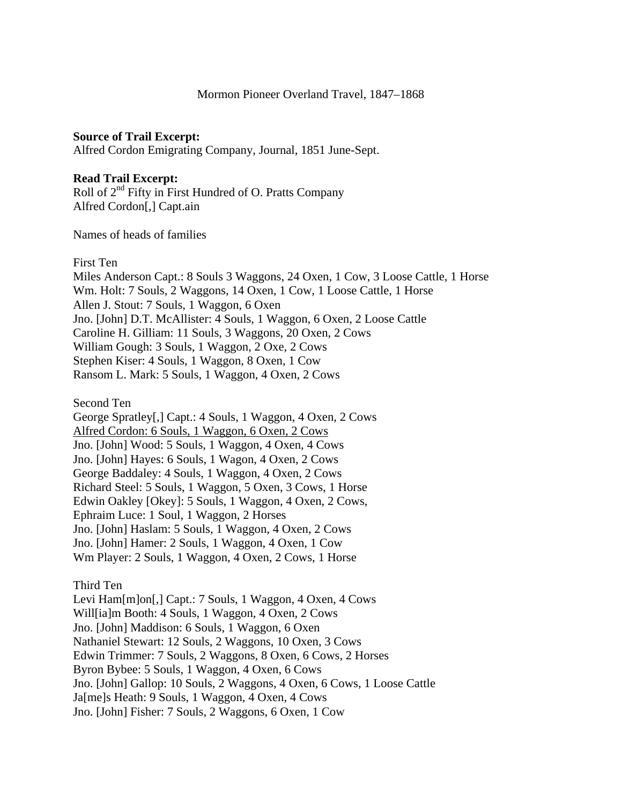## **Source of Trail Excerpt:**

Alfred Cordon Emigrating Company, Journal, 1851 June-Sept.

## **Read Trail Excerpt:**

Roll of  $2<sup>nd</sup>$  Fifty in First Hundred of O. Pratts Company Alfred Cordon[,] Capt.ain

Names of heads of families

## First Ten

Miles Anderson Capt.: 8 Souls 3 Waggons, 24 Oxen, 1 Cow, 3 Loose Cattle, 1 Horse Wm. Holt: 7 Souls, 2 Waggons, 14 Oxen, 1 Cow, 1 Loose Cattle, 1 Horse Allen J. Stout: 7 Souls, 1 Waggon, 6 Oxen Jno. [John] D.T. McAllister: 4 Souls, 1 Waggon, 6 Oxen, 2 Loose Cattle Caroline H. Gilliam: 11 Souls, 3 Waggons, 20 Oxen, 2 Cows William Gough: 3 Souls, 1 Waggon, 2 Oxe, 2 Cows Stephen Kiser: 4 Souls, 1 Waggon, 8 Oxen, 1 Cow Ransom L. Mark: 5 Souls, 1 Waggon, 4 Oxen, 2 Cows

Second Ten

George Spratley[,] Capt.: 4 Souls, 1 Waggon, 4 Oxen, 2 Cows Alfred Cordon: 6 Souls, 1 Waggon, 6 Oxen, 2 Cows Jno. [John] Wood: 5 Souls, 1 Waggon, 4 Oxen, 4 Cows Jno. [John] Hayes: 6 Souls, 1 Wagon, 4 Oxen, 2 Cows George Baddaley: 4 Souls, 1 Waggon, 4 Oxen, 2 Cows Richard Steel: 5 Souls, 1 Waggon, 5 Oxen, 3 Cows, 1 Horse Edwin Oakley [Okey]: 5 Souls, 1 Waggon, 4 Oxen, 2 Cows, Ephraim Luce: 1 Soul, 1 Waggon, 2 Horses Jno. [John] Haslam: 5 Souls, 1 Waggon, 4 Oxen, 2 Cows Jno. [John] Hamer: 2 Souls, 1 Waggon, 4 Oxen, 1 Cow Wm Player: 2 Souls, 1 Waggon, 4 Oxen, 2 Cows, 1 Horse

## Third Ten

Levi Ham[m]on[,] Capt.: 7 Souls, 1 Waggon, 4 Oxen, 4 Cows Will[ia]m Booth: 4 Souls, 1 Waggon, 4 Oxen, 2 Cows Jno. [John] Maddison: 6 Souls, 1 Waggon, 6 Oxen Nathaniel Stewart: 12 Souls, 2 Waggons, 10 Oxen, 3 Cows Edwin Trimmer: 7 Souls, 2 Waggons, 8 Oxen, 6 Cows, 2 Horses Byron Bybee: 5 Souls, 1 Waggon, 4 Oxen, 6 Cows Jno. [John] Gallop: 10 Souls, 2 Waggons, 4 Oxen, 6 Cows, 1 Loose Cattle Ja[me]s Heath: 9 Souls, 1 Waggon, 4 Oxen, 4 Cows Jno. [John] Fisher: 7 Souls, 2 Waggons, 6 Oxen, 1 Cow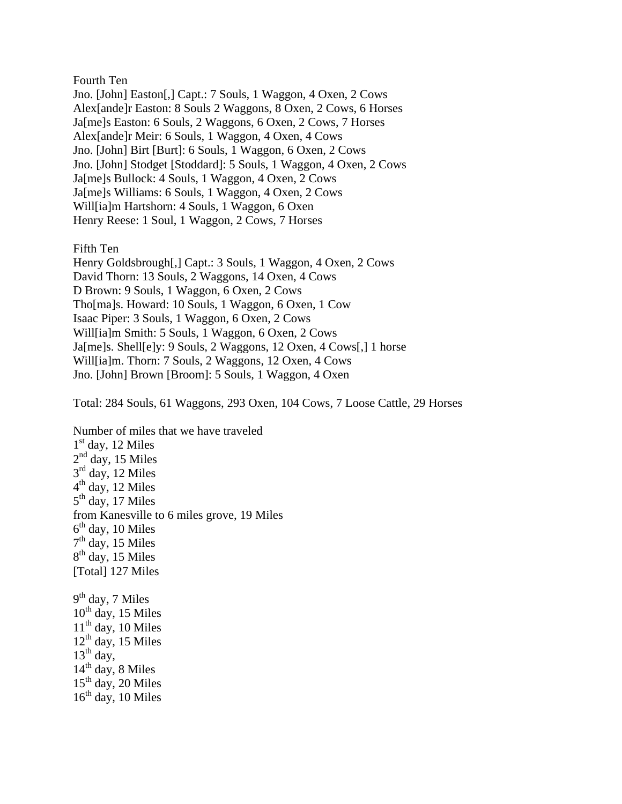Fourth Ten

Jno. [John] Easton[,] Capt.: 7 Souls, 1 Waggon, 4 Oxen, 2 Cows Alex[ande]r Easton: 8 Souls 2 Waggons, 8 Oxen, 2 Cows, 6 Horses Ja[me]s Easton: 6 Souls, 2 Waggons, 6 Oxen, 2 Cows, 7 Horses Alex[ande]r Meir: 6 Souls, 1 Waggon, 4 Oxen, 4 Cows Jno. [John] Birt [Burt]: 6 Souls, 1 Waggon, 6 Oxen, 2 Cows Jno. [John] Stodget [Stoddard]: 5 Souls, 1 Waggon, 4 Oxen, 2 Cows Ja[me]s Bullock: 4 Souls, 1 Waggon, 4 Oxen, 2 Cows Ja[me]s Williams: 6 Souls, 1 Waggon, 4 Oxen, 2 Cows Will[ia]m Hartshorn: 4 Souls, 1 Waggon, 6 Oxen Henry Reese: 1 Soul, 1 Waggon, 2 Cows, 7 Horses

Fifth Ten

Henry Goldsbrough[,] Capt.: 3 Souls, 1 Waggon, 4 Oxen, 2 Cows David Thorn: 13 Souls, 2 Waggons, 14 Oxen, 4 Cows D Brown: 9 Souls, 1 Waggon, 6 Oxen, 2 Cows Tho[ma]s. Howard: 10 Souls, 1 Waggon, 6 Oxen, 1 Cow Isaac Piper: 3 Souls, 1 Waggon, 6 Oxen, 2 Cows Will[ia]m Smith: 5 Souls, 1 Waggon, 6 Oxen, 2 Cows Ja[me]s. Shell[e]y: 9 Souls, 2 Waggons, 12 Oxen, 4 Cows[,] 1 horse Will[ia]m. Thorn: 7 Souls, 2 Waggons, 12 Oxen, 4 Cows Jno. [John] Brown [Broom]: 5 Souls, 1 Waggon, 4 Oxen

Total: 284 Souls, 61 Waggons, 293 Oxen, 104 Cows, 7 Loose Cattle, 29 Horses

Number of miles that we have traveled  $1<sup>st</sup>$  day, 12 Miles  $2<sup>nd</sup>$  day, 15 Miles  $3<sup>rd</sup>$  day, 12 Miles  $4<sup>th</sup>$  day, 12 Miles  $5<sup>th</sup>$  day, 17 Miles from Kanesville to 6 miles grove, 19 Miles  $6<sup>th</sup>$  day, 10 Miles  $7<sup>th</sup>$  day, 15 Miles  $8<sup>th</sup>$  day, 15 Miles [Total] 127 Miles  $9<sup>th</sup>$  day, 7 Miles  $10^{th}$  day, 15 Miles  $11<sup>th</sup>$  day, 10 Miles  $12<sup>th</sup>$  day, 15 Miles  $13<sup>th</sup>$  day,  $14<sup>th</sup>$  day, 8 Miles  $15<sup>th</sup>$  day, 20 Miles  $16<sup>th</sup>$  day, 10 Miles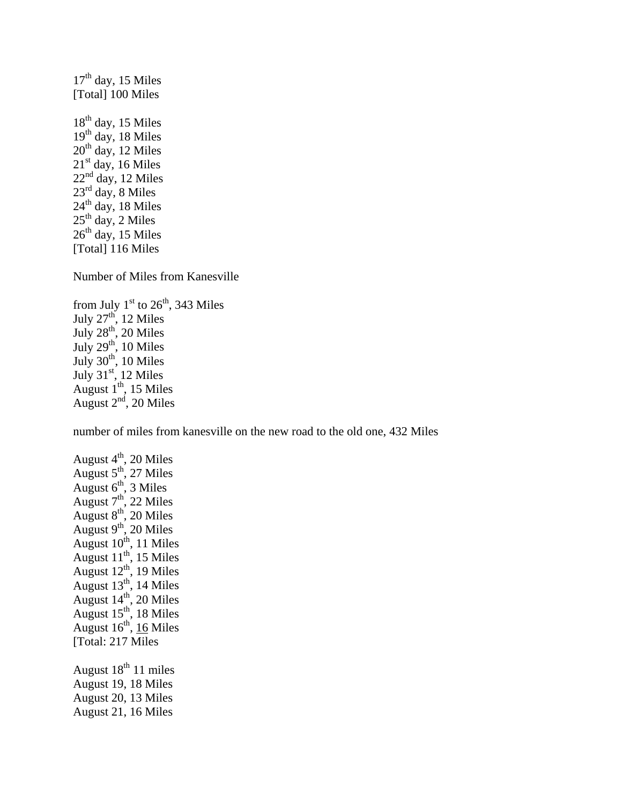$17<sup>th</sup>$  day, 15 Miles [Total] 100 Miles  $18<sup>th</sup>$  day, 15 Miles  $19<sup>th</sup>$  day, 18 Miles  $20<sup>th</sup>$  day, 12 Miles  $21<sup>st</sup>$  day, 16 Miles  $22<sup>nd</sup>$  day, 12 Miles 23rd day, 8 Miles  $24<sup>th</sup>$  day, 18 Miles  $25<sup>th</sup>$  day, 2 Miles  $26<sup>th</sup>$  day, 15 Miles [Total] 116 Miles

Number of Miles from Kanesville

from July  $1<sup>st</sup>$  to  $26<sup>th</sup>$ , 343 Miles July  $27<sup>th</sup>$ , 12 Miles July  $28<sup>th</sup>$ , 20 Miles July  $29<sup>th</sup>$ , 10 Miles July  $30<sup>th</sup>$ , 10 Miles July  $31<sup>st</sup>$ , 12 Miles August  $1^{th}$ , 15 Miles August  $2<sup>nd</sup>$ , 20 Miles

number of miles from kanesville on the new road to the old one, 432 Miles

August  $4<sup>th</sup>$ , 20 Miles August  $5^{\text{th}}$ , 27 Miles August  $6<sup>th</sup>$ , 3 Miles August  $7<sup>th</sup>$ , 22 Miles August  $8<sup>th</sup>$ , 20 Miles August  $9^{th}$ , 20 Miles August  $10^{th}$ , 11 Miles August  $11^{th}$ , 15 Miles August  $12^{th}$ , 19 Miles August  $13^{th}$ , 14 Miles August  $14^{th}$ , 20 Miles August  $15<sup>th</sup>$ , 18 Miles August  $16^{th}$ ,  $16$  Miles [Total: 217 Miles August  $18^{th}$  11 miles August 19, 18 Miles August 20, 13 Miles

August 21, 16 Miles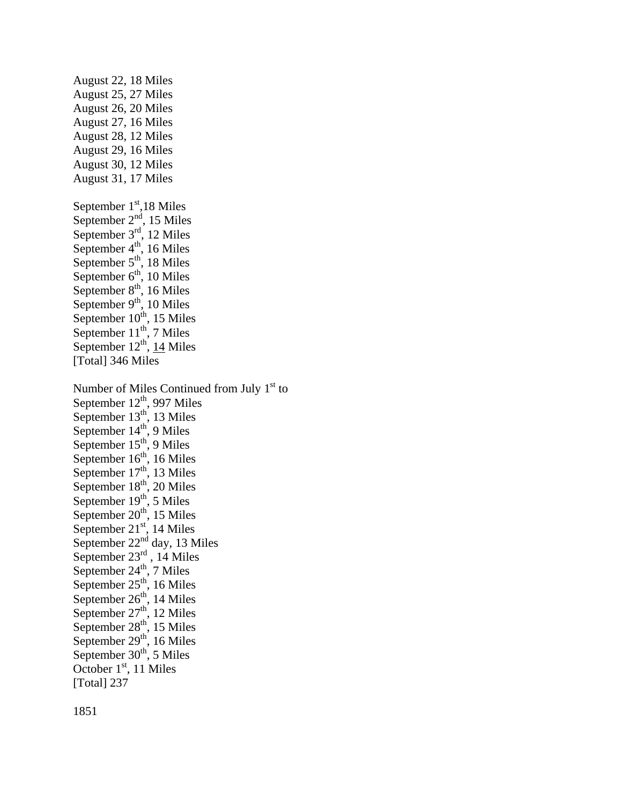August 22, 18 Miles August 25, 27 Miles August 26, 20 Miles August 27, 16 Miles August 28, 12 Miles August 29, 16 Miles August 30, 12 Miles August 31, 17 Miles September  $1<sup>st</sup>$ ,18 Miles September  $2<sup>nd</sup>$ , 15 Miles September  $3<sup>rd</sup>$ , 12 Miles September  $4<sup>th</sup>$ , 16 Miles September  $5<sup>th</sup>$ , 18 Miles September  $6<sup>th</sup>$ , 10 Miles September  $8<sup>th</sup>$ , 16 Miles September  $9<sup>th</sup>$ , 10 Miles September  $10^{th}$ , 15 Miles September  $11^{th}$ , 7 Miles September  $12<sup>th</sup>$ , 14 Miles [Total] 346 Miles Number of Miles Continued from July  $1<sup>st</sup>$  to September  $12<sup>th</sup>$ , 997 Miles September  $13<sup>th</sup>$ , 13 Miles September  $14<sup>th</sup>$ , 9 Miles September  $15<sup>th</sup>$ , 9 Miles September  $16<sup>th</sup>$ , 16 Miles September  $17<sup>th</sup>$ , 13 Miles September  $18<sup>th</sup>$ , 20 Miles September  $19<sup>th</sup>$ , 5 Miles September  $20^{th}$ , 15 Miles September  $21<sup>st</sup>$ , 14 Miles September  $22<sup>nd</sup>$  day, 13 Miles September  $23^{\text{rd}}$ , 14 Miles September  $24<sup>th</sup>$ , 7 Miles September  $25<sup>th</sup>$ , 16 Miles September  $26<sup>th</sup>$ , 14 Miles September  $27<sup>th</sup>$ , 12 Miles September  $28<sup>th</sup>$ , 15 Miles September  $29<sup>th</sup>$ , 16 Miles September  $30<sup>th</sup>$ , 5 Miles October  $1<sup>st</sup>$ , 11 Miles [Total] 237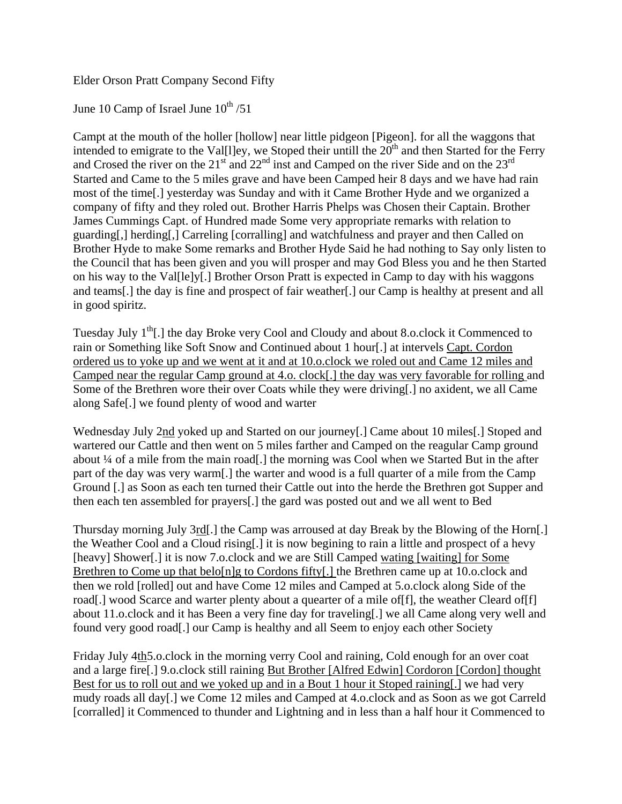Elder Orson Pratt Company Second Fifty

June 10 Camp of Israel June  $10^{th}/51$ 

Campt at the mouth of the holler [hollow] near little pidgeon [Pigeon]. for all the waggons that intended to emigrate to the Val[l]ey, we Stoped their untill the 20<sup>th</sup> and then Started for the Ferry and Crosed the river on the  $21<sup>st</sup>$  and  $22<sup>nd</sup>$  inst and Camped on the river Side and on the  $23<sup>rd</sup>$ Started and Came to the 5 miles grave and have been Camped heir 8 days and we have had rain most of the time[.] yesterday was Sunday and with it Came Brother Hyde and we organized a company of fifty and they roled out. Brother Harris Phelps was Chosen their Captain. Brother James Cummings Capt. of Hundred made Some very appropriate remarks with relation to guarding[,] herding[,] Carreling [corralling] and watchfulness and prayer and then Called on Brother Hyde to make Some remarks and Brother Hyde Said he had nothing to Say only listen to the Council that has been given and you will prosper and may God Bless you and he then Started on his way to the Val[le]y[.] Brother Orson Pratt is expected in Camp to day with his waggons and teams[.] the day is fine and prospect of fair weather[.] our Camp is healthy at present and all in good spiritz.

Tuesday July  $1<sup>th</sup>$ .] the day Broke very Cool and Cloudy and about 8.o.clock it Commenced to rain or Something like Soft Snow and Continued about 1 hour[.] at intervels Capt. Cordon ordered us to yoke up and we went at it and at 10.o.clock we roled out and Came 12 miles and Camped near the regular Camp ground at 4.o. clock[.] the day was very favorable for rolling and Some of the Brethren wore their over Coats while they were driving[.] no axident, we all Came along Safe[.] we found plenty of wood and warter

Wednesday July 2nd yoked up and Started on our journey[.] Came about 10 miles[.] Stoped and wartered our Cattle and then went on 5 miles farther and Camped on the reagular Camp ground about ¼ of a mile from the main road[.] the morning was Cool when we Started But in the after part of the day was very warm[.] the warter and wood is a full quarter of a mile from the Camp Ground [.] as Soon as each ten turned their Cattle out into the herde the Brethren got Supper and then each ten assembled for prayers[.] the gard was posted out and we all went to Bed

Thursday morning July 3rd[.] the Camp was arroused at day Break by the Blowing of the Horn[.] the Weather Cool and a Cloud rising[.] it is now begining to rain a little and prospect of a hevy [heavy] Shower[.] it is now 7.o.clock and we are Still Camped wating [waiting] for Some Brethren to Come up that belo[n]g to Cordons fifty[.] the Brethren came up at 10.0.clock and then we rold [rolled] out and have Come 12 miles and Camped at 5.o.clock along Side of the road[.] wood Scarce and warter plenty about a quearter of a mile of  $[f]$ , the weather Cleard of  $[f]$ about 11.o.clock and it has Been a very fine day for traveling[.] we all Came along very well and found very good road[.] our Camp is healthy and all Seem to enjoy each other Society

Friday July 4th5.o.clock in the morning verry Cool and raining, Cold enough for an over coat and a large fire[.] 9.o.clock still raining But Brother [Alfred Edwin] Cordoron [Cordon] thought Best for us to roll out and we yoked up and in a Bout 1 hour it Stoped raining[.] we had very mudy roads all day[.] we Come 12 miles and Camped at 4.o.clock and as Soon as we got Carreld [corralled] it Commenced to thunder and Lightning and in less than a half hour it Commenced to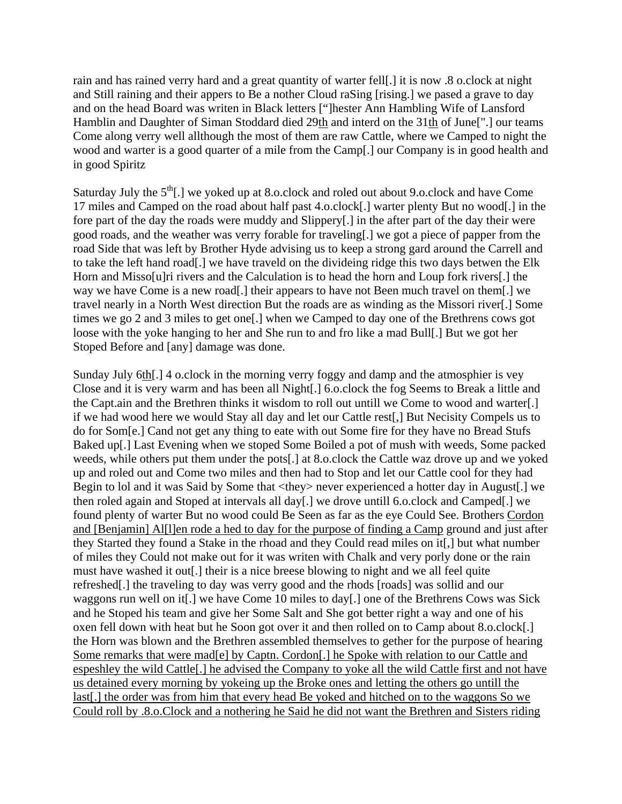rain and has rained verry hard and a great quantity of warter fell[.] it is now .8 o.clock at night and Still raining and their appers to Be a nother Cloud raSing [rising.] we pased a grave to day and on the head Board was writen in Black letters ["]hester Ann Hambling Wife of Lansford Hamblin and Daughter of Siman Stoddard died 29th and interd on the 31th of June<sup>[".]</sup> our teams Come along verry well allthough the most of them are raw Cattle, where we Camped to night the wood and warter is a good quarter of a mile from the Camp[.] our Company is in good health and in good Spiritz

Saturday July the  $5<sup>th</sup>$ .] we yoked up at 8.o.clock and roled out about 9.o.clock and have Come 17 miles and Camped on the road about half past 4.o.clock[.] warter plenty But no wood[.] in the fore part of the day the roads were muddy and Slippery[.] in the after part of the day their were good roads, and the weather was verry forable for traveling[.] we got a piece of papper from the road Side that was left by Brother Hyde advising us to keep a strong gard around the Carrell and to take the left hand road[.] we have traveld on the divideing ridge this two days betwen the Elk Horn and Misso[u]ri rivers and the Calculation is to head the horn and Loup fork rivers[.] the way we have Come is a new road[.] their appears to have not Been much travel on them[.] we travel nearly in a North West direction But the roads are as winding as the Missori river[.] Some times we go 2 and 3 miles to get one[.] when we Camped to day one of the Brethrens cows got loose with the yoke hanging to her and She run to and fro like a mad Bull[.] But we got her Stoped Before and [any] damage was done.

Sunday July 6th[.] 4 o.clock in the morning verry foggy and damp and the atmosphier is vey Close and it is very warm and has been all Night[.] 6.o.clock the fog Seems to Break a little and the Capt.ain and the Brethren thinks it wisdom to roll out untill we Come to wood and warter[.] if we had wood here we would Stay all day and let our Cattle rest[,] But Necisity Compels us to do for Som[e.] Cand not get any thing to eate with out Some fire for they have no Bread Stufs Baked up[.] Last Evening when we stoped Some Boiled a pot of mush with weeds, Some packed weeds, while others put them under the pots[.] at 8.o.clock the Cattle waz drove up and we yoked up and roled out and Come two miles and then had to Stop and let our Cattle cool for they had Begin to lol and it was Said by Some that  $\langle$ they> never experienced a hotter day in August[.] we then roled again and Stoped at intervals all day[.] we drove untill 6.o.clock and Camped[.] we found plenty of warter But no wood could Be Seen as far as the eye Could See. Brothers Cordon and [Benjamin] Al[l]en rode a hed to day for the purpose of finding a Camp ground and just after they Started they found a Stake in the rhoad and they Could read miles on it[,] but what number of miles they Could not make out for it was writen with Chalk and very porly done or the rain must have washed it out[.] their is a nice breese blowing to night and we all feel quite refreshed[.] the traveling to day was verry good and the rhods [roads] was sollid and our waggons run well on it[.] we have Come 10 miles to day[.] one of the Brethrens Cows was Sick and he Stoped his team and give her Some Salt and She got better right a way and one of his oxen fell down with heat but he Soon got over it and then rolled on to Camp about 8.o.clock[.] the Horn was blown and the Brethren assembled themselves to gether for the purpose of hearing Some remarks that were mad[e] by Captn. Cordon[.] he Spoke with relation to our Cattle and espeshley the wild Cattle[.] he advised the Company to yoke all the wild Cattle first and not have us detained every morning by yokeing up the Broke ones and letting the others go untill the last[.] the order was from him that every head Be yoked and hitched on to the waggons So we Could roll by .8.o.Clock and a nothering he Said he did not want the Brethren and Sisters riding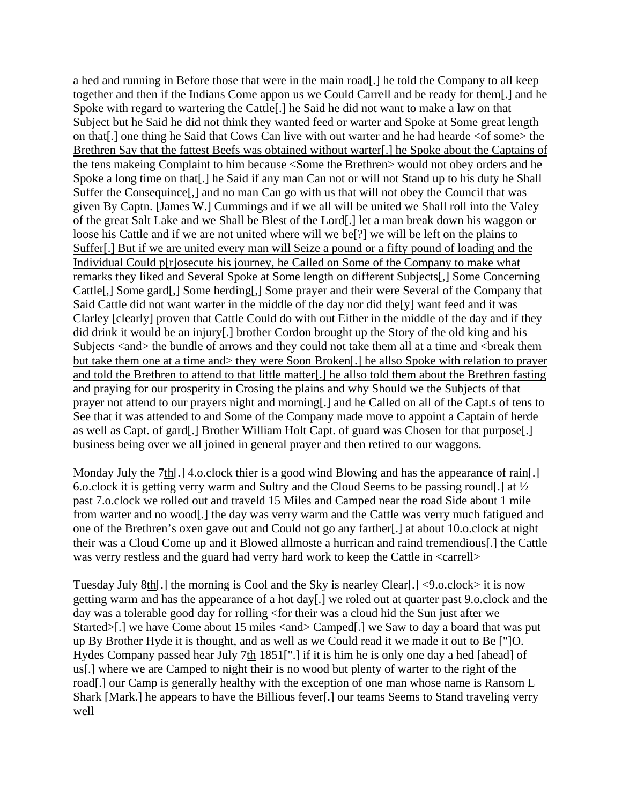a hed and running in Before those that were in the main road[.] he told the Company to all keep together and then if the Indians Come appon us we Could Carrell and be ready for them[.] and he Spoke with regard to wartering the Cattle[.] he Said he did not want to make a law on that Subject but he Said he did not think they wanted feed or warter and Spoke at Some great length on that[.] one thing he Said that Cows Can live with out warter and he had hearde <of some> the Brethren Say that the fattest Beefs was obtained without warter[.] he Spoke about the Captains of the tens makeing Complaint to him because <Some the Brethren> would not obey orders and he Spoke a long time on that[.] he Said if any man Can not or will not Stand up to his duty he Shall Suffer the Consequince[,] and no man Can go with us that will not obey the Council that was given By Captn. [James W.] Cummings and if we all will be united we Shall roll into the Valey of the great Salt Lake and we Shall be Blest of the Lord[.] let a man break down his waggon or loose his Cattle and if we are not united where will we be[?] we will be left on the plains to Suffer[.] But if we are united every man will Seize a pound or a fifty pound of loading and the Individual Could p[r]osecute his journey, he Called on Some of the Company to make what remarks they liked and Several Spoke at Some length on different Subjects[,] Some Concerning Cattle[,] Some gard[,] Some herding[,] Some prayer and their were Several of the Company that Said Cattle did not want warter in the middle of the day nor did the[y] want feed and it was Clarley [clearly] proven that Cattle Could do with out Either in the middle of the day and if they did drink it would be an injury[.] brother Cordon brought up the Story of the old king and his Subjects <and> the bundle of arrows and they could not take them all at a time and <br/> <br/>determined them but take them one at a time and> they were Soon Broken[.] he allso Spoke with relation to prayer and told the Brethren to attend to that little matter[.] he allso told them about the Brethren fasting and praying for our prosperity in Crosing the plains and why Should we the Subjects of that prayer not attend to our prayers night and morning[.] and he Called on all of the Capt.s of tens to See that it was attended to and Some of the Company made move to appoint a Captain of herde as well as Capt. of gard[.] Brother William Holt Capt. of guard was Chosen for that purpose[.] business being over we all joined in general prayer and then retired to our waggons.

Monday July the 7th[.] 4.o.clock thier is a good wind Blowing and has the appearance of rain[.] 6.o.clock it is getting verry warm and Sultry and the Cloud Seems to be passing round. Let  $\frac{1}{2}$ past 7.o.clock we rolled out and traveld 15 Miles and Camped near the road Side about 1 mile from warter and no wood[.] the day was verry warm and the Cattle was verry much fatigued and one of the Brethren's oxen gave out and Could not go any farther[.] at about 10.o.clock at night their was a Cloud Come up and it Blowed allmoste a hurrican and raind tremendious[.] the Cattle was verry restless and the guard had verry hard work to keep the Cattle in  $\langle \text{carrell}} \rangle$ 

Tuesday July 8th[.] the morning is Cool and the Sky is nearley Clear[.] <9.o.clock> it is now getting warm and has the appearance of a hot day[.] we roled out at quarter past 9.o.clock and the day was a tolerable good day for rolling <for their was a cloud hid the Sun just after we Started>[.] we have Come about 15 miles <and> Camped[.] we Saw to day a board that was put up By Brother Hyde it is thought, and as well as we Could read it we made it out to Be ["]O. Hydes Company passed hear July 7th 1851[".] if it is him he is only one day a hed [ahead] of us[.] where we are Camped to night their is no wood but plenty of warter to the right of the road[.] our Camp is generally healthy with the exception of one man whose name is Ransom L Shark [Mark.] he appears to have the Billious fever[.] our teams Seems to Stand traveling verry well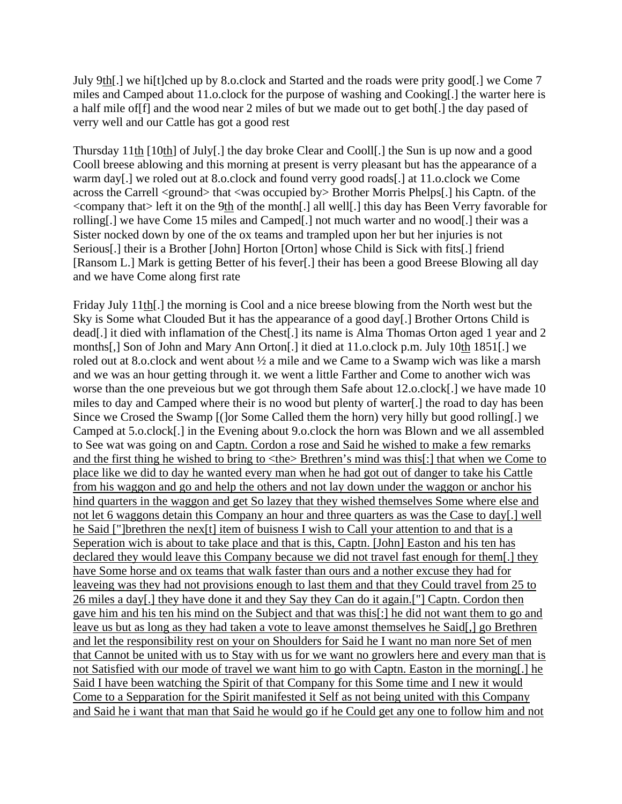July 9th[.] we hi[t]ched up by 8.o.clock and Started and the roads were prity good[.] we Come 7 miles and Camped about 11.o.clock for the purpose of washing and Cooking[.] the warter here is a half mile of[f] and the wood near 2 miles of but we made out to get both[.] the day pased of verry well and our Cattle has got a good rest

Thursday 11th [10th] of July[.] the day broke Clear and Cooll[.] the Sun is up now and a good Cooll breese ablowing and this morning at present is verry pleasant but has the appearance of a warm day[.] we roled out at 8.o.clock and found verry good roads[.] at 11.o.clock we Come across the Carrell <ground> that <was occupied by> Brother Morris Phelps[.] his Captn. of the <company that> left it on the 9th of the month[.] all well[.] this day has Been Verry favorable for rolling[.] we have Come 15 miles and Camped[.] not much warter and no wood[.] their was a Sister nocked down by one of the ox teams and trampled upon her but her injuries is not Serious[.] their is a Brother [John] Horton [Orton] whose Child is Sick with fits[.] friend [Ransom L.] Mark is getting Better of his fever[.] their has been a good Breese Blowing all day and we have Come along first rate

Friday July 11th[.] the morning is Cool and a nice breese blowing from the North west but the Sky is Some what Clouded But it has the appearance of a good day[.] Brother Ortons Child is dead[.] it died with inflamation of the Chest[.] its name is Alma Thomas Orton aged 1 year and 2 months[,] Son of John and Mary Ann Orton[.] it died at 11.o.clock p.m. July 10th 1851[.] we roled out at 8.o.clock and went about ½ a mile and we Came to a Swamp wich was like a marsh and we was an hour getting through it. we went a little Farther and Come to another wich was worse than the one preveious but we got through them Safe about 12.o.clock[.] we have made 10 miles to day and Camped where their is no wood but plenty of warter[.] the road to day has been Since we Crosed the Swamp [(]or Some Called them the horn) very hilly but good rolling[.] we Camped at 5.o.clock[.] in the Evening about 9.o.clock the horn was Blown and we all assembled to See wat was going on and Captn. Cordon a rose and Said he wished to make a few remarks and the first thing he wished to bring to <the> Brethren's mind was this[:] that when we Come to place like we did to day he wanted every man when he had got out of danger to take his Cattle from his waggon and go and help the others and not lay down under the waggon or anchor his hind quarters in the waggon and get So lazey that they wished themselves Some where else and not let 6 waggons detain this Company an hour and three quarters as was the Case to day[.] well he Said ["]brethren the nex[t] item of buisness I wish to Call your attention to and that is a Seperation wich is about to take place and that is this, Captn. [John] Easton and his ten has declared they would leave this Company because we did not travel fast enough for them[.] they have Some horse and ox teams that walk faster than ours and a nother excuse they had for leaveing was they had not provisions enough to last them and that they Could travel from 25 to 26 miles a day[.] they have done it and they Say they Can do it again.["] Captn. Cordon then gave him and his ten his mind on the Subject and that was this[:] he did not want them to go and leave us but as long as they had taken a vote to leave amonst themselves he Said[,] go Brethren and let the responsibility rest on your on Shoulders for Said he I want no man nore Set of men that Cannot be united with us to Stay with us for we want no growlers here and every man that is not Satisfied with our mode of travel we want him to go with Captn. Easton in the morning[.] he Said I have been watching the Spirit of that Company for this Some time and I new it would Come to a Sepparation for the Spirit manifested it Self as not being united with this Company and Said he i want that man that Said he would go if he Could get any one to follow him and not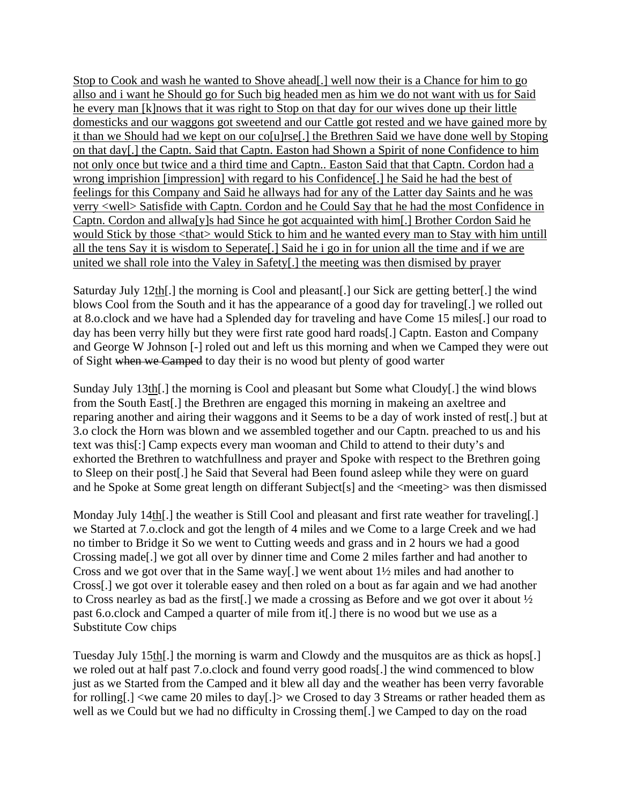Stop to Cook and wash he wanted to Shove ahead[.] well now their is a Chance for him to go allso and i want he Should go for Such big headed men as him we do not want with us for Said he every man [k]nows that it was right to Stop on that day for our wives done up their little domesticks and our waggons got sweetend and our Cattle got rested and we have gained more by it than we Should had we kept on our co[u]rse[.] the Brethren Said we have done well by Stoping on that day[.] the Captn. Said that Captn. Easton had Shown a Spirit of none Confidence to him not only once but twice and a third time and Captn.. Easton Said that that Captn. Cordon had a wrong imprishion [impression] with regard to his Confidence[.] he Said he had the best of feelings for this Company and Said he allways had for any of the Latter day Saints and he was verry <well> Satisfide with Captn. Cordon and he Could Say that he had the most Confidence in Captn. Cordon and allwa[y]s had Since he got acquainted with him[.] Brother Cordon Said he would Stick by those <that> would Stick to him and he wanted every man to Stay with him untill all the tens Say it is wisdom to Seperate[.] Said he i go in for union all the time and if we are united we shall role into the Valey in Safety[.] the meeting was then dismised by prayer

Saturday July 12th[.] the morning is Cool and pleasant[.] our Sick are getting better[.] the wind blows Cool from the South and it has the appearance of a good day for traveling[.] we rolled out at 8.o.clock and we have had a Splended day for traveling and have Come 15 miles[.] our road to day has been verry hilly but they were first rate good hard roads[.] Captn. Easton and Company and George W Johnson [-] roled out and left us this morning and when we Camped they were out of Sight when we Camped to day their is no wood but plenty of good warter

Sunday July 13th[.] the morning is Cool and pleasant but Some what Cloudy[.] the wind blows from the South East[.] the Brethren are engaged this morning in makeing an axeltree and reparing another and airing their waggons and it Seems to be a day of work insted of rest[.] but at 3.o clock the Horn was blown and we assembled together and our Captn. preached to us and his text was this[:] Camp expects every man wooman and Child to attend to their duty's and exhorted the Brethren to watchfullness and prayer and Spoke with respect to the Brethren going to Sleep on their post[.] he Said that Several had Been found asleep while they were on guard and he Spoke at Some great length on differant Subject[s] and the <meeting> was then dismissed

Monday July 14th. The weather is Still Cool and pleasant and first rate weather for traveling. we Started at 7.o.clock and got the length of 4 miles and we Come to a large Creek and we had no timber to Bridge it So we went to Cutting weeds and grass and in 2 hours we had a good Crossing made[.] we got all over by dinner time and Come 2 miles farther and had another to Cross and we got over that in the Same way[.] we went about 1½ miles and had another to Cross[.] we got over it tolerable easey and then roled on a bout as far again and we had another to Cross nearley as bad as the first[.] we made a crossing as Before and we got over it about ½ past 6.o.clock and Camped a quarter of mile from it[.] there is no wood but we use as a Substitute Cow chips

Tuesday July 15th[.] the morning is warm and Clowdy and the musquitos are as thick as hops[.] we roled out at half past 7.o.clock and found verry good roads[.] the wind commenced to blow just as we Started from the Camped and it blew all day and the weather has been verry favorable for rolling[.] <we came 20 miles to day[.]> we Crosed to day 3 Streams or rather headed them as well as we Could but we had no difficulty in Crossing them[.] we Camped to day on the road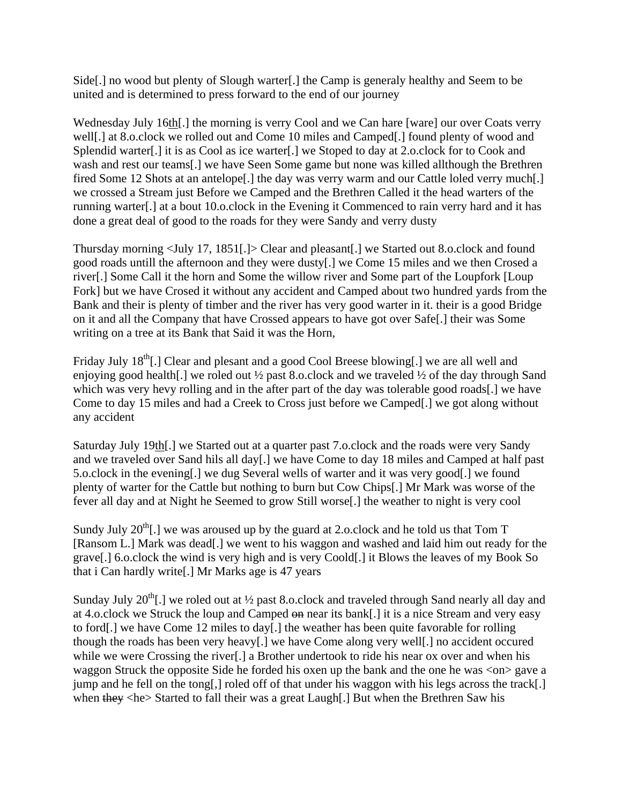Side[.] no wood but plenty of Slough warter[.] the Camp is generaly healthy and Seem to be united and is determined to press forward to the end of our journey

Wednesday July 16th[.] the morning is verry Cool and we Can hare [ware] our over Coats verry well[.] at 8.o.clock we rolled out and Come 10 miles and Camped[.] found plenty of wood and Splendid warter[.] it is as Cool as ice warter[.] we Stoped to day at 2.o.clock for to Cook and wash and rest our teams[.] we have Seen Some game but none was killed allthough the Brethren fired Some 12 Shots at an antelope<sup>[1]</sup>, the day was verry warm and our Cattle loled verry much<sup>[1]</sup> we crossed a Stream just Before we Camped and the Brethren Called it the head warters of the running warter[.] at a bout 10.o.clock in the Evening it Commenced to rain verry hard and it has done a great deal of good to the roads for they were Sandy and verry dusty

Thursday morning <July 17, 1851[.]> Clear and pleasant[.] we Started out 8.o.clock and found good roads untill the afternoon and they were dusty[.] we Come 15 miles and we then Crosed a river[.] Some Call it the horn and Some the willow river and Some part of the Loupfork [Loup Fork] but we have Crosed it without any accident and Camped about two hundred yards from the Bank and their is plenty of timber and the river has very good warter in it. their is a good Bridge on it and all the Company that have Crossed appears to have got over Safe[.] their was Some writing on a tree at its Bank that Said it was the Horn,

Friday July  $18^{th}$ [.] Clear and plesant and a good Cool Breese blowing[.] we are all well and enjoving good health[.] we roled out <sup>1/2</sup> past 8.o.clock and we traveled <sup>1</sup>/2 of the day through Sand which was very hevy rolling and in the after part of the day was tolerable good roads[.] we have Come to day 15 miles and had a Creek to Cross just before we Camped[.] we got along without any accident

Saturday July 19th[.] we Started out at a quarter past 7.o.clock and the roads were very Sandy and we traveled over Sand hils all day[.] we have Come to day 18 miles and Camped at half past 5.o.clock in the evening[.] we dug Several wells of warter and it was very good[.] we found plenty of warter for the Cattle but nothing to burn but Cow Chips[.] Mr Mark was worse of the fever all day and at Night he Seemed to grow Still worse[.] the weather to night is very cool

Sundy July  $20^{th}$ . we was aroused up by the guard at 2.o.clock and he told us that Tom T [Ransom L.] Mark was dead[.] we went to his waggon and washed and laid him out ready for the grave[.] 6.o.clock the wind is very high and is very Coold[.] it Blows the leaves of my Book So that i Can hardly write[.] Mr Marks age is 47 years

Sunday July  $20^{th}$ . we roled out at  $\frac{1}{2}$  past 8.o.clock and traveled through Sand nearly all day and at 4.o.clock we Struck the loup and Camped on near its bank[.] it is a nice Stream and very easy to ford[.] we have Come 12 miles to day[.] the weather has been quite favorable for rolling though the roads has been very heavy[.] we have Come along very well[.] no accident occured while we were Crossing the river[.] a Brother undertook to ride his near ox over and when his waggon Struck the opposite Side he forded his oxen up the bank and the one he was <on> gave a jump and he fell on the tong[,] roled off of that under his waggon with his legs across the track[.] when they <he> Started to fall their was a great Laugh[.] But when the Brethren Saw his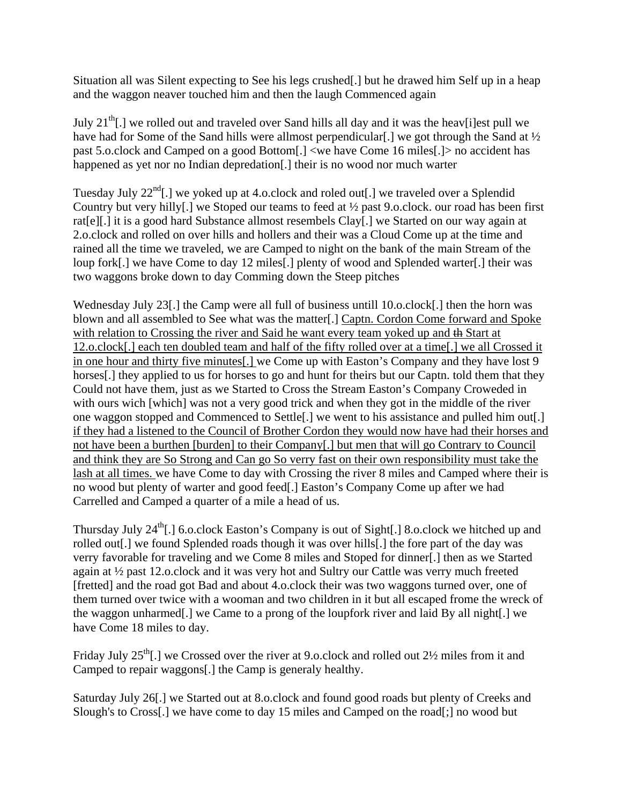Situation all was Silent expecting to See his legs crushed[.] but he drawed him Self up in a heap and the waggon neaver touched him and then the laugh Commenced again

July  $21^{th}$ [.] we rolled out and traveled over Sand hills all day and it was the heav[i]est pull we have had for Some of the Sand hills were allmost perpendicular. We got through the Sand at  $\frac{1}{2}$ past 5.o.clock and Camped on a good Bottom[.] <we have Come 16 miles[.]> no accident has happened as yet nor no Indian depredation[.] their is no wood nor much warter

Tuesday July  $22^{nd}$ . we voked up at 4.o.clock and roled out [.] we traveled over a Splendid Country but very hilly[.] we Stoped our teams to feed at ½ past 9.o.clock. our road has been first rat[e][.] it is a good hard Substance allmost resembels Clay[.] we Started on our way again at 2.o.clock and rolled on over hills and hollers and their was a Cloud Come up at the time and rained all the time we traveled, we are Camped to night on the bank of the main Stream of the loup fork[.] we have Come to day 12 miles[.] plenty of wood and Splended warter[.] their was two waggons broke down to day Comming down the Steep pitches

Wednesday July 23. The Camp were all full of business untill 10.0.clock[.] then the horn was blown and all assembled to See what was the matter[.] Captn. Cordon Come forward and Spoke with relation to Crossing the river and Said he want every team yoked up and the Start at 12.o.clock[.] each ten doubled team and half of the fifty rolled over at a time[.] we all Crossed it in one hour and thirty five minutes[.] we Come up with Easton's Company and they have lost 9 horses<sup>[1]</sup>, they applied to us for horses to go and hunt for theirs but our Captn. told them that they Could not have them, just as we Started to Cross the Stream Easton's Company Croweded in with ours wich [which] was not a very good trick and when they got in the middle of the river one waggon stopped and Commenced to Settle[.] we went to his assistance and pulled him out[.] if they had a listened to the Council of Brother Cordon they would now have had their horses and not have been a burthen [burden] to their Company[.] but men that will go Contrary to Council and think they are So Strong and Can go So verry fast on their own responsibility must take the lash at all times. we have Come to day with Crossing the river 8 miles and Camped where their is no wood but plenty of warter and good feed[.] Easton's Company Come up after we had Carrelled and Camped a quarter of a mile a head of us.

Thursday July  $24<sup>th</sup>$ .] 6.o.clock Easton's Company is out of Sight[.] 8.o.clock we hitched up and rolled out[.] we found Splended roads though it was over hills[.] the fore part of the day was verry favorable for traveling and we Come 8 miles and Stoped for dinner[.] then as we Started again at ½ past 12.o.clock and it was very hot and Sultry our Cattle was verry much freeted [fretted] and the road got Bad and about 4.o.clock their was two waggons turned over, one of them turned over twice with a wooman and two children in it but all escaped frome the wreck of the waggon unharmed[.] we Came to a prong of the loupfork river and laid By all night[.] we have Come 18 miles to day.

Friday July  $25<sup>th</sup>$ . we Crossed over the river at 9.0.clock and rolled out  $2\frac{1}{2}$  miles from it and Camped to repair waggons[.] the Camp is generaly healthy.

Saturday July 26[.] we Started out at 8.o.clock and found good roads but plenty of Creeks and Slough's to Cross[.] we have come to day 15 miles and Camped on the road[;] no wood but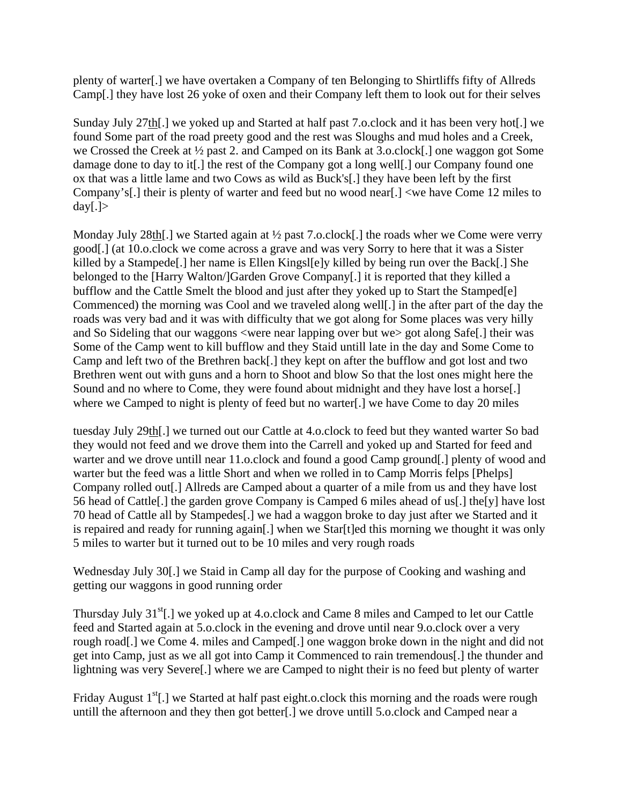plenty of warter[.] we have overtaken a Company of ten Belonging to Shirtliffs fifty of Allreds Camp[.] they have lost 26 yoke of oxen and their Company left them to look out for their selves

Sunday July 27th[.] we yoked up and Started at half past 7.o.clock and it has been very hot[.] we found Some part of the road preety good and the rest was Sloughs and mud holes and a Creek, we Crossed the Creek at ½ past 2. and Camped on its Bank at 3.o.clock[.] one waggon got Some damage done to day to it[.] the rest of the Company got a long well[.] our Company found one ox that was a little lame and two Cows as wild as Buck's[.] they have been left by the first Company's[.] their is plenty of warter and feed but no wood near[.] <we have Come 12 miles to day $[.]$ 

Monday July 28th. we Started again at  $\frac{1}{2}$  past 7.o.clock. I the roads wher we Come were verry good[.] (at 10.o.clock we come across a grave and was very Sorry to here that it was a Sister killed by a Stampede[.] her name is Ellen Kingsl[e]y killed by being run over the Back[.] She belonged to the [Harry Walton/]Garden Grove Company[.] it is reported that they killed a bufflow and the Cattle Smelt the blood and just after they yoked up to Start the Stamped[e] Commenced) the morning was Cool and we traveled along well[.] in the after part of the day the roads was very bad and it was with difficulty that we got along for Some places was very hilly and So Sideling that our waggons <were near lapping over but we> got along Safe[.] their was Some of the Camp went to kill bufflow and they Staid untill late in the day and Some Come to Camp and left two of the Brethren back[.] they kept on after the bufflow and got lost and two Brethren went out with guns and a horn to Shoot and blow So that the lost ones might here the Sound and no where to Come, they were found about midnight and they have lost a horse[.] where we Camped to night is plenty of feed but no warter[.] we have Come to day 20 miles

tuesday July 29th[.] we turned out our Cattle at 4.o.clock to feed but they wanted warter So bad they would not feed and we drove them into the Carrell and yoked up and Started for feed and warter and we drove untill near 11.o.clock and found a good Camp ground[.] plenty of wood and warter but the feed was a little Short and when we rolled in to Camp Morris felps [Phelps] Company rolled out[.] Allreds are Camped about a quarter of a mile from us and they have lost 56 head of Cattle[.] the garden grove Company is Camped 6 miles ahead of us[.] the[y] have lost 70 head of Cattle all by Stampedes[.] we had a waggon broke to day just after we Started and it is repaired and ready for running again[.] when we Star[t]ed this morning we thought it was only 5 miles to warter but it turned out to be 10 miles and very rough roads

Wednesday July 30[.] we Staid in Camp all day for the purpose of Cooking and washing and getting our waggons in good running order

Thursday July 31<sup>st</sup>[.] we yoked up at 4.o.clock and Came 8 miles and Camped to let our Cattle feed and Started again at 5.o.clock in the evening and drove until near 9.o.clock over a very rough road[.] we Come 4. miles and Camped[.] one waggon broke down in the night and did not get into Camp, just as we all got into Camp it Commenced to rain tremendous[.] the thunder and lightning was very Severe[.] where we are Camped to night their is no feed but plenty of warter

Friday August  $1<sup>st</sup>[.]$  we Started at half past eight.o.clock this morning and the roads were rough untill the afternoon and they then got better[.] we drove untill 5.o.clock and Camped near a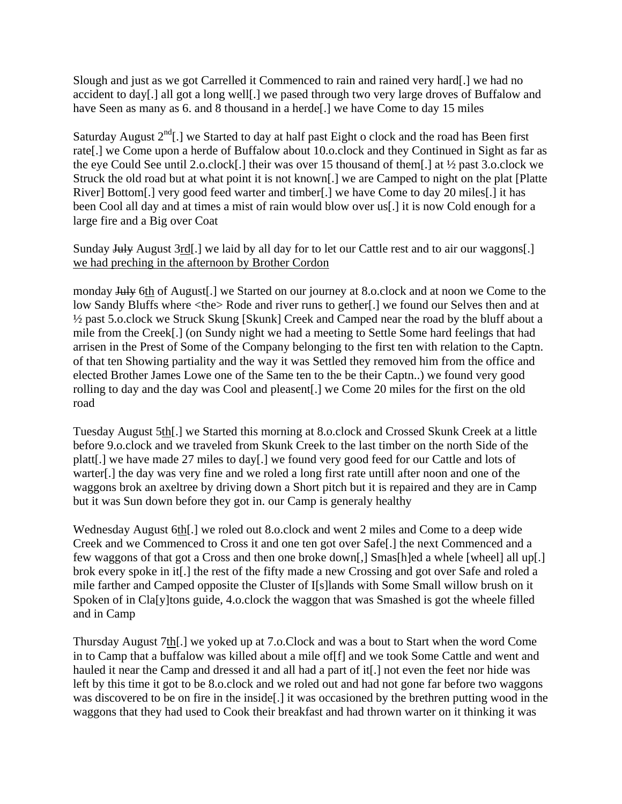Slough and just as we got Carrelled it Commenced to rain and rained very hard[.] we had no accident to day[.] all got a long well[.] we pased through two very large droves of Buffalow and have Seen as many as 6. and 8 thousand in a herde<sup>[1]</sup> we have Come to day 15 miles

Saturday August  $2<sup>nd</sup>[.]$  we Started to day at half past Eight o clock and the road has Been first rate[.] we Come upon a herde of Buffalow about 10.o.clock and they Continued in Sight as far as the eye Could See until 2.o.clock[.] their was over 15 thousand of them[.] at ½ past 3.o.clock we Struck the old road but at what point it is not known[.] we are Camped to night on the plat [Platte River] Bottom[.] very good feed warter and timber[.] we have Come to day 20 miles[.] it has been Cool all day and at times a mist of rain would blow over us[.] it is now Cold enough for a large fire and a Big over Coat

Sunday July August 3rd. we laid by all day for to let our Cattle rest and to air our waggons. we had preching in the afternoon by Brother Cordon

monday July 6th of August. we Started on our journey at 8.o.clock and at noon we Come to the low Sandy Bluffs where <the> Rode and river runs to gether[.] we found our Selves then and at ½ past 5.o.clock we Struck Skung [Skunk] Creek and Camped near the road by the bluff about a mile from the Creek[.] (on Sundy night we had a meeting to Settle Some hard feelings that had arrisen in the Prest of Some of the Company belonging to the first ten with relation to the Captn. of that ten Showing partiality and the way it was Settled they removed him from the office and elected Brother James Lowe one of the Same ten to the be their Captn..) we found very good rolling to day and the day was Cool and pleasent[.] we Come 20 miles for the first on the old road

Tuesday August 5th[.] we Started this morning at 8.o.clock and Crossed Skunk Creek at a little before 9.o.clock and we traveled from Skunk Creek to the last timber on the north Side of the platt[.] we have made 27 miles to day[.] we found very good feed for our Cattle and lots of warter[.] the day was very fine and we roled a long first rate untill after noon and one of the waggons brok an axeltree by driving down a Short pitch but it is repaired and they are in Camp but it was Sun down before they got in. our Camp is generaly healthy

Wednesday August 6th. we roled out 8.o.clock and went 2 miles and Come to a deep wide Creek and we Commenced to Cross it and one ten got over Safe[.] the next Commenced and a few waggons of that got a Cross and then one broke down[,] Smas[h]ed a whele [wheel] all up[.] brok every spoke in it[.] the rest of the fifty made a new Crossing and got over Safe and roled a mile farther and Camped opposite the Cluster of I[s]lands with Some Small willow brush on it Spoken of in Cla[y]tons guide, 4.o.clock the waggon that was Smashed is got the wheele filled and in Camp

Thursday August 7th[.] we yoked up at 7.o.Clock and was a bout to Start when the word Come in to Camp that a buffalow was killed about a mile of[f] and we took Some Cattle and went and hauled it near the Camp and dressed it and all had a part of it[.] not even the feet nor hide was left by this time it got to be 8.o.clock and we roled out and had not gone far before two waggons was discovered to be on fire in the inside[.] it was occasioned by the brethren putting wood in the waggons that they had used to Cook their breakfast and had thrown warter on it thinking it was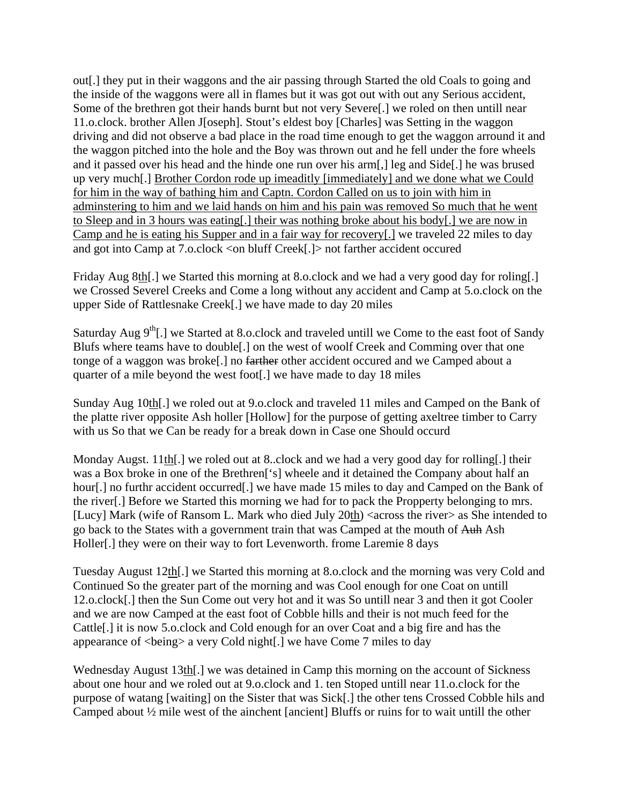out[.] they put in their waggons and the air passing through Started the old Coals to going and the inside of the waggons were all in flames but it was got out with out any Serious accident, Some of the brethren got their hands burnt but not very Severe[.] we roled on then untill near 11.o.clock. brother Allen J[oseph]. Stout's eldest boy [Charles] was Setting in the waggon driving and did not observe a bad place in the road time enough to get the waggon arround it and the waggon pitched into the hole and the Boy was thrown out and he fell under the fore wheels and it passed over his head and the hinde one run over his arm[,] leg and Side[.] he was brused up very much[.] Brother Cordon rode up imeaditly [immediately] and we done what we Could for him in the way of bathing him and Captn. Cordon Called on us to join with him in adminstering to him and we laid hands on him and his pain was removed So much that he went to Sleep and in 3 hours was eating[.] their was nothing broke about his body[.] we are now in Camp and he is eating his Supper and in a fair way for recovery[.] we traveled 22 miles to day and got into Camp at 7.o.clock <on bluff Creek[.]> not farther accident occured

Friday Aug 8th[.] we Started this morning at 8.o.clock and we had a very good day for roling[.] we Crossed Severel Creeks and Come a long without any accident and Camp at 5.o.clock on the upper Side of Rattlesnake Creek[.] we have made to day 20 miles

Saturday Aug  $9<sup>th</sup>$ [.] we Started at 8.o.clock and traveled untill we Come to the east foot of Sandy Blufs where teams have to double[.] on the west of woolf Creek and Comming over that one tonge of a waggon was broke[.] no farther other accident occured and we Camped about a quarter of a mile beyond the west foot[.] we have made to day 18 miles

Sunday Aug 10th[.] we roled out at 9.o.clock and traveled 11 miles and Camped on the Bank of the platte river opposite Ash holler [Hollow] for the purpose of getting axeltree timber to Carry with us So that we Can be ready for a break down in Case one Should occurd

Monday Augst. 11th[.] we roled out at 8..clock and we had a very good day for rolling[.] their was a Box broke in one of the Brethren['s] wheele and it detained the Company about half an hour[.] no furthr accident occurred[.] we have made 15 miles to day and Camped on the Bank of the river[.] Before we Started this morning we had for to pack the Propperty belonging to mrs. [Lucy] Mark (wife of Ransom L. Mark who died July 20th) <across the river> as She intended to go back to the States with a government train that was Camped at the mouth of Auh Ash Holler[.] they were on their way to fort Levenworth. frome Laremie 8 days

Tuesday August 12th[.] we Started this morning at 8.o.clock and the morning was very Cold and Continued So the greater part of the morning and was Cool enough for one Coat on untill 12.o.clock[.] then the Sun Come out very hot and it was So untill near 3 and then it got Cooler and we are now Camped at the east foot of Cobble hills and their is not much feed for the Cattle[.] it is now 5.o.clock and Cold enough for an over Coat and a big fire and has the appearance of <being> a very Cold night[.] we have Come 7 miles to day

Wednesday August 13th<sup>[1]</sup>, we was detained in Camp this morning on the account of Sickness about one hour and we roled out at 9.o.clock and 1. ten Stoped untill near 11.o.clock for the purpose of watang [waiting] on the Sister that was Sick[.] the other tens Crossed Cobble hils and Camped about ½ mile west of the ainchent [ancient] Bluffs or ruins for to wait untill the other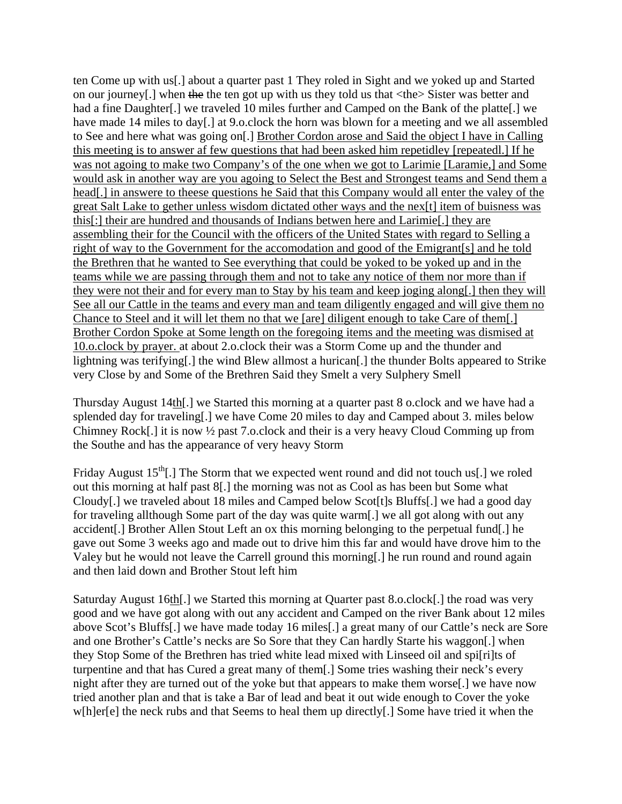ten Come up with us[.] about a quarter past 1 They roled in Sight and we yoked up and Started on our journey[.] when the the ten got up with us they told us that <the> Sister was better and had a fine Daughter[.] we traveled 10 miles further and Camped on the Bank of the platte[.] we have made 14 miles to day[.] at 9.o.clock the horn was blown for a meeting and we all assembled to See and here what was going on[.] Brother Cordon arose and Said the object I have in Calling this meeting is to answer af few questions that had been asked him repetidley [repeatedl.] If he was not agoing to make two Company's of the one when we got to Larimie [Laramie,] and Some would ask in another way are you agoing to Select the Best and Strongest teams and Send them a head[.] in answere to theese questions he Said that this Company would all enter the valey of the great Salt Lake to gether unless wisdom dictated other ways and the nex[t] item of buisness was this[:] their are hundred and thousands of Indians betwen here and Larimie[.] they are assembling their for the Council with the officers of the United States with regard to Selling a right of way to the Government for the accomodation and good of the Emigrant[s] and he told the Brethren that he wanted to See everything that could be yoked to be yoked up and in the teams while we are passing through them and not to take any notice of them nor more than if they were not their and for every man to Stay by his team and keep joging along[.] then they will See all our Cattle in the teams and every man and team diligently engaged and will give them no Chance to Steel and it will let them no that we [are] diligent enough to take Care of them[.] Brother Cordon Spoke at Some length on the foregoing items and the meeting was dismised at 10.o.clock by prayer. at about 2.o.clock their was a Storm Come up and the thunder and lightning was terifying[.] the wind Blew allmost a hurican[.] the thunder Bolts appeared to Strike very Close by and Some of the Brethren Said they Smelt a very Sulphery Smell

Thursday August 14th[.] we Started this morning at a quarter past 8 o.clock and we have had a splended day for traveling[.] we have Come 20 miles to day and Camped about 3. miles below Chimney Rock[.] it is now ½ past 7.o.clock and their is a very heavy Cloud Comming up from the Southe and has the appearance of very heavy Storm

Friday August  $15<sup>th</sup>$ [.] The Storm that we expected went round and did not touch us[.] we roled out this morning at half past 8[.] the morning was not as Cool as has been but Some what Cloudy[.] we traveled about 18 miles and Camped below Scot[t]s Bluffs[.] we had a good day for traveling allthough Some part of the day was quite warm[.] we all got along with out any accident[.] Brother Allen Stout Left an ox this morning belonging to the perpetual fund[.] he gave out Some 3 weeks ago and made out to drive him this far and would have drove him to the Valey but he would not leave the Carrell ground this morning[.] he run round and round again and then laid down and Brother Stout left him

Saturday August 16th[.] we Started this morning at Quarter past 8.o.clock[.] the road was very good and we have got along with out any accident and Camped on the river Bank about 12 miles above Scot's Bluffs[.] we have made today 16 miles[.] a great many of our Cattle's neck are Sore and one Brother's Cattle's necks are So Sore that they Can hardly Starte his waggon[.] when they Stop Some of the Brethren has tried white lead mixed with Linseed oil and spi[ri]ts of turpentine and that has Cured a great many of them[.] Some tries washing their neck's every night after they are turned out of the yoke but that appears to make them worse[.] we have now tried another plan and that is take a Bar of lead and beat it out wide enough to Cover the yoke w[h]er[e] the neck rubs and that Seems to heal them up directly[.] Some have tried it when the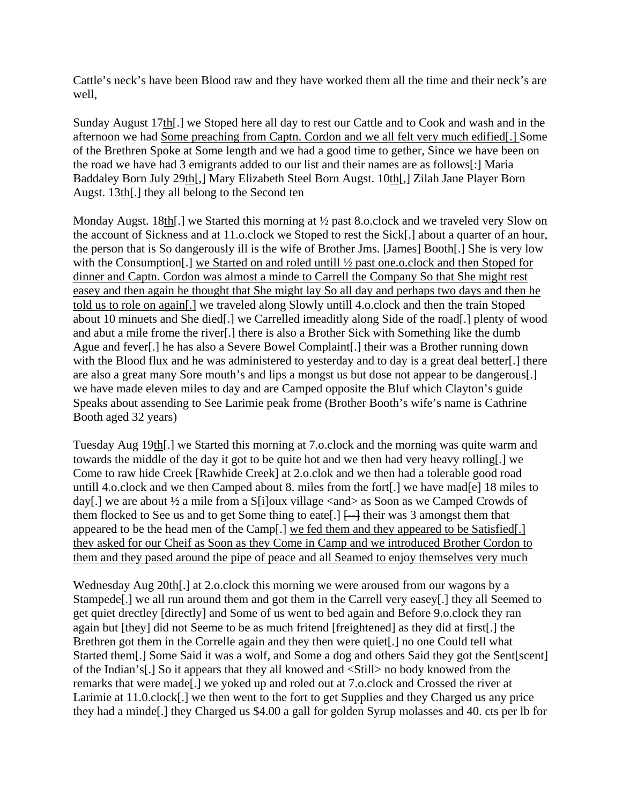Cattle's neck's have been Blood raw and they have worked them all the time and their neck's are well,

Sunday August 17th[.] we Stoped here all day to rest our Cattle and to Cook and wash and in the afternoon we had Some preaching from Captn. Cordon and we all felt very much edified[.] Some of the Brethren Spoke at Some length and we had a good time to gether, Since we have been on the road we have had 3 emigrants added to our list and their names are as follows[:] Maria Baddaley Born July 29th[,] Mary Elizabeth Steel Born Augst. 10th[,] Zilah Jane Player Born Augst. 13th[.] they all belong to the Second ten

Monday Augst. 18th. we Started this morning at  $\frac{1}{2}$  past 8.o.clock and we traveled very Slow on the account of Sickness and at 11.o.clock we Stoped to rest the Sick[.] about a quarter of an hour, the person that is So dangerously ill is the wife of Brother Jms. [James] Booth[.] She is very low with the Consumption<sup>[1]</sup>, we Started on and roled untill  $\frac{1}{2}$  past one.o.clock and then Stoped for dinner and Captn. Cordon was almost a minde to Carrell the Company So that She might rest easey and then again he thought that She might lay So all day and perhaps two days and then he told us to role on again[.] we traveled along Slowly untill 4.o.clock and then the train Stoped about 10 minuets and She died[.] we Carrelled imeaditly along Side of the road[.] plenty of wood and abut a mile frome the river[.] there is also a Brother Sick with Something like the dumb Ague and fever[.] he has also a Severe Bowel Complaint[.] their was a Brother running down with the Blood flux and he was administered to yesterday and to day is a great deal better. I there are also a great many Sore mouth's and lips a mongst us but dose not appear to be dangerous[.] we have made eleven miles to day and are Camped opposite the Bluf which Clayton's guide Speaks about assending to See Larimie peak frome (Brother Booth's wife's name is Cathrine Booth aged 32 years)

Tuesday Aug 19th[.] we Started this morning at 7.o.clock and the morning was quite warm and towards the middle of the day it got to be quite hot and we then had very heavy rolling[.] we Come to raw hide Creek [Rawhide Creek] at 2.o.clok and we then had a tolerable good road untill 4.o.clock and we then Camped about 8. miles from the fort[.] we have mad[e] 18 miles to day[.] we are about ½ a mile from a S[i]oux village <and> as Soon as we Camped Crowds of them flocked to See us and to get Some thing to eate.  $]$  [-- $]$  their was 3 amongst them that appeared to be the head men of the Camp[.] we fed them and they appeared to be Satisfied[.] they asked for our Cheif as Soon as they Come in Camp and we introduced Brother Cordon to them and they pased around the pipe of peace and all Seamed to enjoy themselves very much

Wednesday Aug 20th[.] at 2.o.clock this morning we were aroused from our wagons by a Stampede[.] we all run around them and got them in the Carrell very easey[.] they all Seemed to get quiet drectley [directly] and Some of us went to bed again and Before 9.o.clock they ran again but [they] did not Seeme to be as much fritend [freightened] as they did at first[.] the Brethren got them in the Correlle again and they then were quiet[.] no one Could tell what Started them[.] Some Said it was a wolf, and Some a dog and others Said they got the Sent[scent] of the Indian's[.] So it appears that they all knowed and <Still> no body knowed from the remarks that were made[.] we yoked up and roled out at 7.o.clock and Crossed the river at Larimie at 11.0.clock[.] we then went to the fort to get Supplies and they Charged us any price they had a minde[.] they Charged us \$4.00 a gall for golden Syrup molasses and 40. cts per lb for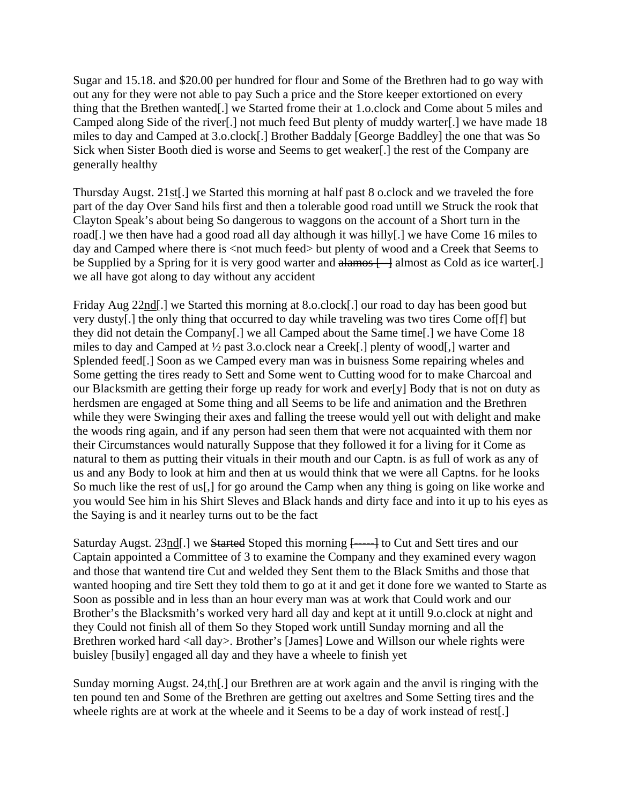Sugar and 15.18. and \$20.00 per hundred for flour and Some of the Brethren had to go way with out any for they were not able to pay Such a price and the Store keeper extortioned on every thing that the Brethen wanted[.] we Started frome their at 1.o.clock and Come about 5 miles and Camped along Side of the river[.] not much feed But plenty of muddy warter[.] we have made 18 miles to day and Camped at 3.o.clock[.] Brother Baddaly [George Baddley] the one that was So Sick when Sister Booth died is worse and Seems to get weaker[.] the rest of the Company are generally healthy

Thursday Augst. 21st[.] we Started this morning at half past 8 o.clock and we traveled the fore part of the day Over Sand hils first and then a tolerable good road untill we Struck the rook that Clayton Speak's about being So dangerous to waggons on the account of a Short turn in the road[.] we then have had a good road all day although it was hilly[.] we have Come 16 miles to day and Camped where there is <not much feed> but plenty of wood and a Creek that Seems to be Supplied by a Spring for it is very good warter and alamos  $\Box$  almost as Cold as ice warter. we all have got along to day without any accident

Friday Aug 22nd[.] we Started this morning at 8.o.clock[.] our road to day has been good but very dusty[.] the only thing that occurred to day while traveling was two tires Come of[f] but they did not detain the Company[.] we all Camped about the Same time[.] we have Come 18 miles to day and Camped at ½ past 3.o.clock near a Creek[.] plenty of wood[,] warter and Splended feed[.] Soon as we Camped every man was in buisness Some repairing wheles and Some getting the tires ready to Sett and Some went to Cutting wood for to make Charcoal and our Blacksmith are getting their forge up ready for work and ever[y] Body that is not on duty as herdsmen are engaged at Some thing and all Seems to be life and animation and the Brethren while they were Swinging their axes and falling the treese would yell out with delight and make the woods ring again, and if any person had seen them that were not acquainted with them nor their Circumstances would naturally Suppose that they followed it for a living for it Come as natural to them as putting their vituals in their mouth and our Captn. is as full of work as any of us and any Body to look at him and then at us would think that we were all Captns. for he looks So much like the rest of us[,] for go around the Camp when any thing is going on like worke and you would See him in his Shirt Sleves and Black hands and dirty face and into it up to his eyes as the Saying is and it nearley turns out to be the fact

Saturday Augst. 23nd. we Started Stoped this morning  $\leftarrow$  to Cut and Sett tires and our Captain appointed a Committee of 3 to examine the Company and they examined every wagon and those that wantend tire Cut and welded they Sent them to the Black Smiths and those that wanted hooping and tire Sett they told them to go at it and get it done fore we wanted to Starte as Soon as possible and in less than an hour every man was at work that Could work and our Brother's the Blacksmith's worked very hard all day and kept at it untill 9.o.clock at night and they Could not finish all of them So they Stoped work untill Sunday morning and all the Brethren worked hard <all day>. Brother's [James] Lowe and Willson our whele rights were buisley [busily] engaged all day and they have a wheele to finish yet

Sunday morning Augst. 24,th[.] our Brethren are at work again and the anvil is ringing with the ten pound ten and Some of the Brethren are getting out axeltres and Some Setting tires and the wheele rights are at work at the wheele and it Seems to be a day of work instead of rest.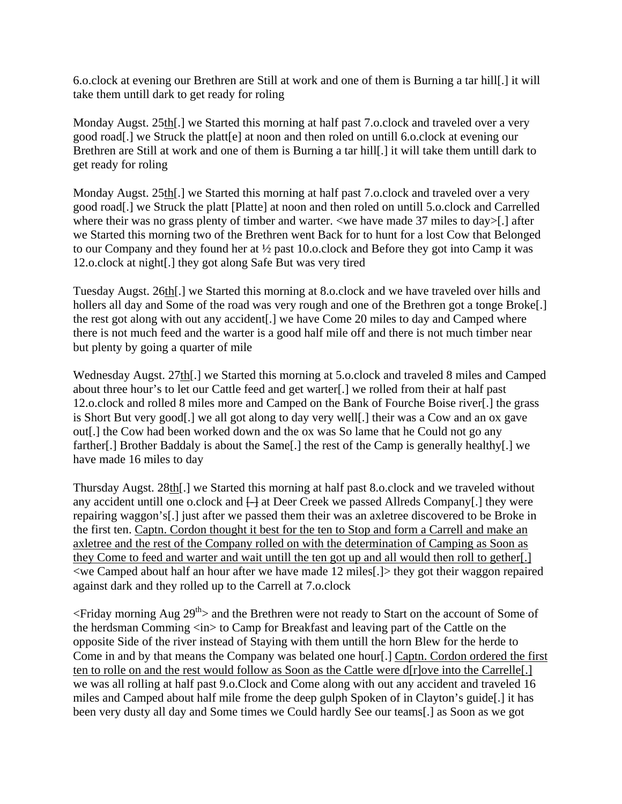6.o.clock at evening our Brethren are Still at work and one of them is Burning a tar hill[.] it will take them untill dark to get ready for roling

Monday Augst. 25th[.] we Started this morning at half past 7.o.clock and traveled over a very good road[.] we Struck the platt[e] at noon and then roled on untill 6.o.clock at evening our Brethren are Still at work and one of them is Burning a tar hill[.] it will take them untill dark to get ready for roling

Monday Augst. 25th[.] we Started this morning at half past 7.o.clock and traveled over a very good road[.] we Struck the platt [Platte] at noon and then roled on untill 5.o.clock and Carrelled where their was no grass plenty of timber and warter. <we have made 37 miles to day>[.] after we Started this morning two of the Brethren went Back for to hunt for a lost Cow that Belonged to our Company and they found her at ½ past 10.o.clock and Before they got into Camp it was 12.o.clock at night[.] they got along Safe But was very tired

Tuesday Augst. 26th[.] we Started this morning at 8.o.clock and we have traveled over hills and hollers all day and Some of the road was very rough and one of the Brethren got a tonge Broke. the rest got along with out any accident[.] we have Come 20 miles to day and Camped where there is not much feed and the warter is a good half mile off and there is not much timber near but plenty by going a quarter of mile

Wednesday Augst. 27th[.] we Started this morning at 5.o.clock and traveled 8 miles and Camped about three hour's to let our Cattle feed and get warter[.] we rolled from their at half past 12.o.clock and rolled 8 miles more and Camped on the Bank of Fourche Boise river[.] the grass is Short But very good[.] we all got along to day very well[.] their was a Cow and an ox gave out[.] the Cow had been worked down and the ox was So lame that he Could not go any farther[.] Brother Baddaly is about the Same[.] the rest of the Camp is generally healthy[.] we have made 16 miles to day

Thursday Augst. 28th[.] we Started this morning at half past 8.o.clock and we traveled without any accident untill one o.clock and  $\Box$  at Deer Creek we passed Allreds Company[.] they were repairing waggon's[.] just after we passed them their was an axletree discovered to be Broke in the first ten. Captn. Cordon thought it best for the ten to Stop and form a Carrell and make an axletree and the rest of the Company rolled on with the determination of Camping as Soon as they Come to feed and warter and wait untill the ten got up and all would then roll to gether[.]  $\langle$ we Camped about half an hour after we have made 12 miles[.] $>$  they got their waggon repaired against dark and they rolled up to the Carrell at 7.o.clock

 $\leq$ Friday morning Aug 29<sup>th</sup> and the Brethren were not ready to Start on the account of Some of the herdsman Comming <in> to Camp for Breakfast and leaving part of the Cattle on the opposite Side of the river instead of Staying with them untill the horn Blew for the herde to Come in and by that means the Company was belated one hour[.] Captn. Cordon ordered the first ten to rolle on and the rest would follow as Soon as the Cattle were d[r]ove into the Carrelle[.] we was all rolling at half past 9.o.Clock and Come along with out any accident and traveled 16 miles and Camped about half mile frome the deep gulph Spoken of in Clayton's guide[.] it has been very dusty all day and Some times we Could hardly See our teams[.] as Soon as we got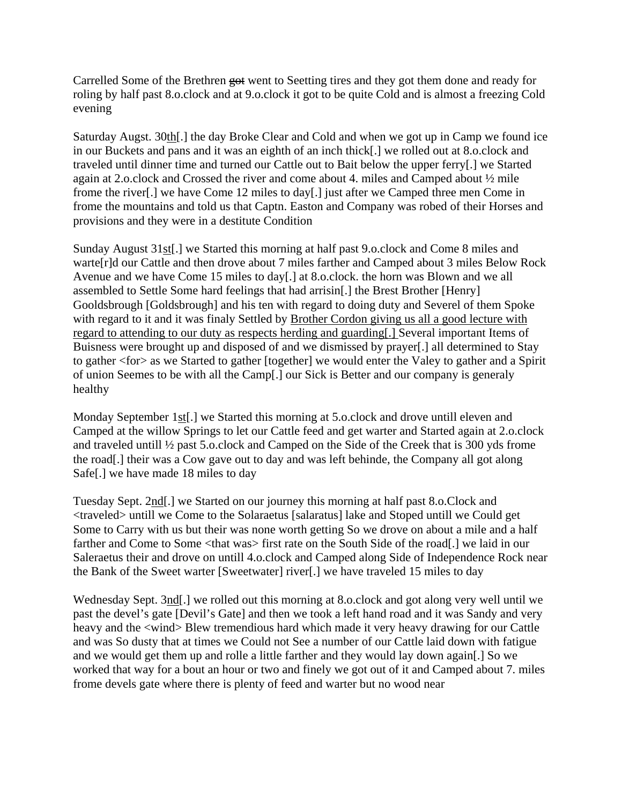Carrelled Some of the Brethren got went to Seetting tires and they got them done and ready for roling by half past 8.o.clock and at 9.o.clock it got to be quite Cold and is almost a freezing Cold evening

Saturday Augst. 30th[.] the day Broke Clear and Cold and when we got up in Camp we found ice in our Buckets and pans and it was an eighth of an inch thick[.] we rolled out at 8.o.clock and traveled until dinner time and turned our Cattle out to Bait below the upper ferry[.] we Started again at 2.o.clock and Crossed the river and come about 4. miles and Camped about ½ mile frome the river[.] we have Come 12 miles to day[.] just after we Camped three men Come in frome the mountains and told us that Captn. Easton and Company was robed of their Horses and provisions and they were in a destitute Condition

Sunday August 31st[.] we Started this morning at half past 9.o.clock and Come 8 miles and warte[r]d our Cattle and then drove about 7 miles farther and Camped about 3 miles Below Rock Avenue and we have Come 15 miles to day[.] at 8.o.clock. the horn was Blown and we all assembled to Settle Some hard feelings that had arrisin[.] the Brest Brother [Henry] Gooldsbrough [Goldsbrough] and his ten with regard to doing duty and Severel of them Spoke with regard to it and it was finaly Settled by Brother Cordon giving us all a good lecture with regard to attending to our duty as respects herding and guarding[.] Several important Items of Buisness were brought up and disposed of and we dismissed by prayer[.] all determined to Stay to gather <for> as we Started to gather [together] we would enter the Valey to gather and a Spirit of union Seemes to be with all the Camp[.] our Sick is Better and our company is generaly healthy

Monday September 1st[.] we Started this morning at 5.o.clock and drove untill eleven and Camped at the willow Springs to let our Cattle feed and get warter and Started again at 2.o.clock and traveled untill ½ past 5.o.clock and Camped on the Side of the Creek that is 300 yds frome the road[.] their was a Cow gave out to day and was left behinde, the Company all got along Safe[.] we have made 18 miles to day

Tuesday Sept. 2nd[.] we Started on our journey this morning at half past 8.o.Clock and <traveled> untill we Come to the Solaraetus [salaratus] lake and Stoped untill we Could get Some to Carry with us but their was none worth getting So we drove on about a mile and a half farther and Come to Some <that was> first rate on the South Side of the road[.] we laid in our Saleraetus their and drove on untill 4.o.clock and Camped along Side of Independence Rock near the Bank of the Sweet warter [Sweetwater] river[.] we have traveled 15 miles to day

Wednesday Sept. 3nd[.] we rolled out this morning at 8.o.clock and got along very well until we past the devel's gate [Devil's Gate] and then we took a left hand road and it was Sandy and very heavy and the <wind> Blew tremendious hard which made it very heavy drawing for our Cattle and was So dusty that at times we Could not See a number of our Cattle laid down with fatigue and we would get them up and rolle a little farther and they would lay down again[.] So we worked that way for a bout an hour or two and finely we got out of it and Camped about 7. miles frome devels gate where there is plenty of feed and warter but no wood near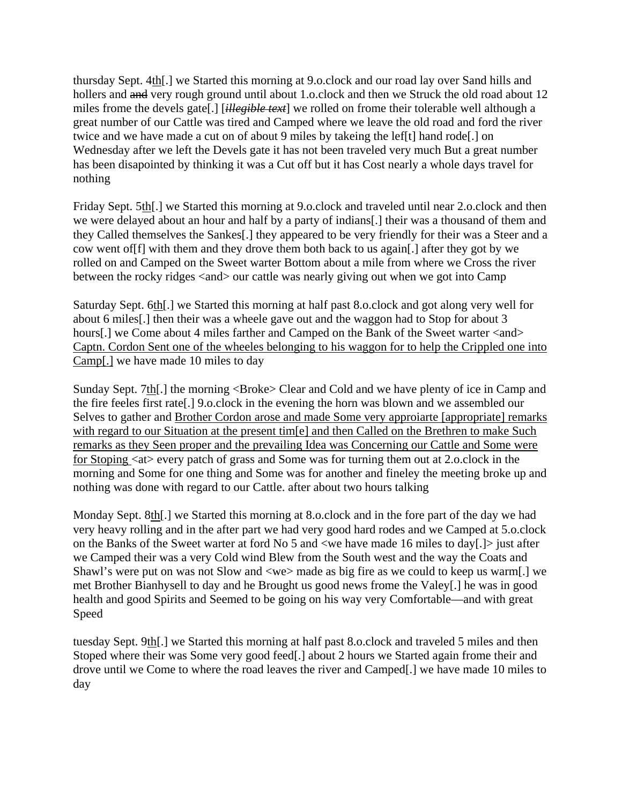thursday Sept. 4th[.] we Started this morning at 9.o.clock and our road lay over Sand hills and hollers and and very rough ground until about 1.o.clock and then we Struck the old road about 12 miles frome the devels gate[.] [*illegible text*] we rolled on frome their tolerable well although a great number of our Cattle was tired and Camped where we leave the old road and ford the river twice and we have made a cut on of about 9 miles by takeing the lef[t] hand rode[.] on Wednesday after we left the Devels gate it has not been traveled very much But a great number has been disapointed by thinking it was a Cut off but it has Cost nearly a whole days travel for nothing

Friday Sept. 5th[.] we Started this morning at 9.o.clock and traveled until near 2.o.clock and then we were delayed about an hour and half by a party of indians[.] their was a thousand of them and they Called themselves the Sankes[.] they appeared to be very friendly for their was a Steer and a cow went of[f] with them and they drove them both back to us again[.] after they got by we rolled on and Camped on the Sweet warter Bottom about a mile from where we Cross the river between the rocky ridges <and> our cattle was nearly giving out when we got into Camp

Saturday Sept. 6th[.] we Started this morning at half past 8.o.clock and got along very well for about 6 miles[.] then their was a wheele gave out and the waggon had to Stop for about 3 hours[.] we Come about 4 miles farther and Camped on the Bank of the Sweet warter <and> Captn. Cordon Sent one of the wheeles belonging to his waggon for to help the Crippled one into Camp[.] we have made 10 miles to day

Sunday Sept. 7th. I the morning <Broke> Clear and Cold and we have plenty of ice in Camp and the fire feeles first rate[.] 9.o.clock in the evening the horn was blown and we assembled our Selves to gather and Brother Cordon arose and made Some very approiarte [appropriate] remarks with regard to our Situation at the present tim<sup>[e]</sup> and then Called on the Brethren to make Such remarks as they Seen proper and the prevailing Idea was Concerning our Cattle and Some were for Stoping  $\langle$  at > every patch of grass and Some was for turning them out at 2.o.clock in the morning and Some for one thing and Some was for another and fineley the meeting broke up and nothing was done with regard to our Cattle. after about two hours talking

Monday Sept. 8th[.] we Started this morning at 8.o.clock and in the fore part of the day we had very heavy rolling and in the after part we had very good hard rodes and we Camped at 5.o.clock on the Banks of the Sweet warter at ford No 5 and <we have made 16 miles to day[.]> just after we Camped their was a very Cold wind Blew from the South west and the way the Coats and Shawl's were put on was not Slow and <we> made as big fire as we could to keep us warm[.] we met Brother Bianhysell to day and he Brought us good news frome the Valey[.] he was in good health and good Spirits and Seemed to be going on his way very Comfortable—and with great Speed

tuesday Sept. 9th[.] we Started this morning at half past 8.o.clock and traveled 5 miles and then Stoped where their was Some very good feed[.] about 2 hours we Started again frome their and drove until we Come to where the road leaves the river and Camped[.] we have made 10 miles to day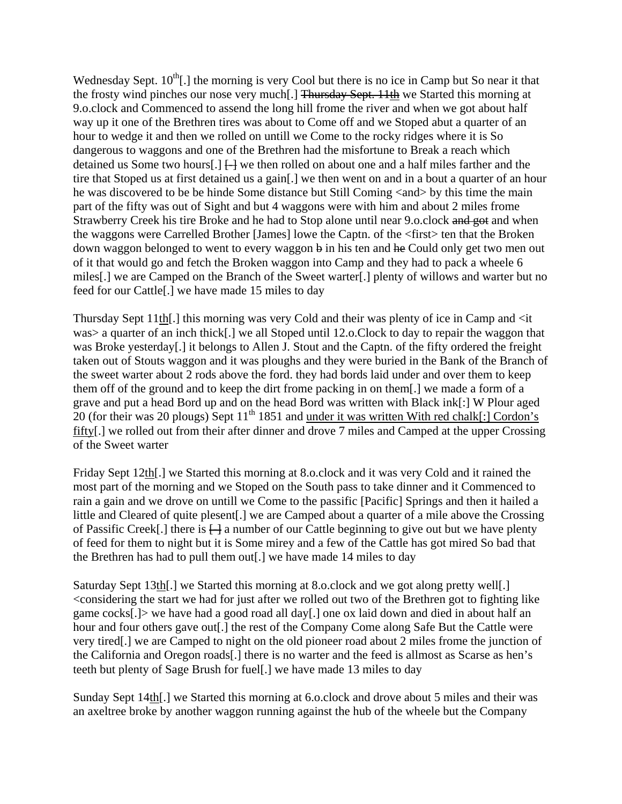Wednesday Sept.  $10^{th}$ . I the morning is very Cool but there is no ice in Camp but So near it that the frosty wind pinches our nose very much[.] Thursday Sept. 11th we Started this morning at 9.o.clock and Commenced to assend the long hill frome the river and when we got about half way up it one of the Brethren tires was about to Come off and we Stoped abut a quarter of an hour to wedge it and then we rolled on untill we Come to the rocky ridges where it is So dangerous to waggons and one of the Brethren had the misfortune to Break a reach which detained us Some two hours[.]  $\Box$  we then rolled on about one and a half miles farther and the tire that Stoped us at first detained us a gain[.] we then went on and in a bout a quarter of an hour he was discovered to be be hinde Some distance but Still Coming <and> by this time the main part of the fifty was out of Sight and but 4 waggons were with him and about 2 miles frome Strawberry Creek his tire Broke and he had to Stop alone until near 9.0.clock and got and when the waggons were Carrelled Brother [James] lowe the Captn. of the <first> ten that the Broken down waggon belonged to went to every waggon b in his ten and he Could only get two men out of it that would go and fetch the Broken waggon into Camp and they had to pack a wheele 6 miles[.] we are Camped on the Branch of the Sweet warter[.] plenty of willows and warter but no feed for our Cattle[.] we have made 15 miles to day

Thursday Sept 11th[.] this morning was very Cold and their was plenty of ice in Camp and <it was > a quarter of an inch thick[.] we all Stoped until 12.o.Clock to day to repair the waggon that was Broke yesterday[.] it belongs to Allen J. Stout and the Captn. of the fifty ordered the freight taken out of Stouts waggon and it was ploughs and they were buried in the Bank of the Branch of the sweet warter about 2 rods above the ford. they had bords laid under and over them to keep them off of the ground and to keep the dirt frome packing in on them[.] we made a form of a grave and put a head Bord up and on the head Bord was written with Black ink[:] W Plour aged  $20$  (for their was 20 plougs) Sept 11<sup>th</sup> 1851 and <u>under it was written With red chalk[:</u>] Cordon's fifty[.] we rolled out from their after dinner and drove 7 miles and Camped at the upper Crossing of the Sweet warter

Friday Sept 12th[.] we Started this morning at 8.o.clock and it was very Cold and it rained the most part of the morning and we Stoped on the South pass to take dinner and it Commenced to rain a gain and we drove on untill we Come to the passific [Pacific] Springs and then it hailed a little and Cleared of quite plesent[.] we are Camped about a quarter of a mile above the Crossing of Passific Creek[.] there is  $\left\{\frac{1}{2}\right\}$  a number of our Cattle beginning to give out but we have plenty of feed for them to night but it is Some mirey and a few of the Cattle has got mired So bad that the Brethren has had to pull them out[.] we have made 14 miles to day

Saturday Sept 13th[.] we Started this morning at 8.o.clock and we got along pretty well[.] <considering the start we had for just after we rolled out two of the Brethren got to fighting like game cocks[.]> we have had a good road all day[.] one ox laid down and died in about half an hour and four others gave out[.] the rest of the Company Come along Safe But the Cattle were very tired[.] we are Camped to night on the old pioneer road about 2 miles frome the junction of the California and Oregon roads[.] there is no warter and the feed is allmost as Scarse as hen's teeth but plenty of Sage Brush for fuel[.] we have made 13 miles to day

Sunday Sept 14th[.] we Started this morning at 6.o.clock and drove about 5 miles and their was an axeltree broke by another waggon running against the hub of the wheele but the Company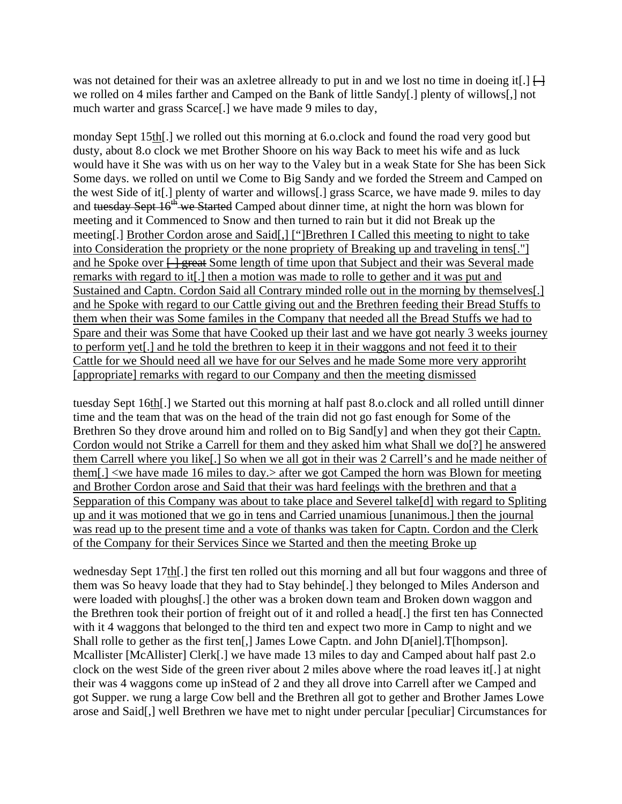was not detained for their was an axletree allready to put in and we lost no time in doeing it. we rolled on 4 miles farther and Camped on the Bank of little Sandy[.] plenty of willows[,] not much warter and grass Scarce[.] we have made 9 miles to day,

monday Sept 15th[.] we rolled out this morning at 6.o.clock and found the road very good but dusty, about 8.o clock we met Brother Shoore on his way Back to meet his wife and as luck would have it She was with us on her way to the Valey but in a weak State for She has been Sick Some days. we rolled on until we Come to Big Sandy and we forded the Streem and Camped on the west Side of it[.] plenty of warter and willows[.] grass Scarce, we have made 9. miles to day and tuesday Sept 16<sup>th</sup> we Started Camped about dinner time, at night the horn was blown for meeting and it Commenced to Snow and then turned to rain but it did not Break up the meeting[.] Brother Cordon arose and Said[,] ["]Brethren I Called this meeting to night to take into Consideration the propriety or the none propriety of Breaking up and traveling in tens[."] and he Spoke over  $\frac{1}{2}$  great Some length of time upon that Subject and their was Several made remarks with regard to it[.] then a motion was made to rolle to gether and it was put and Sustained and Captn. Cordon Said all Contrary minded rolle out in the morning by themselves[.] and he Spoke with regard to our Cattle giving out and the Brethren feeding their Bread Stuffs to them when their was Some familes in the Company that needed all the Bread Stuffs we had to Spare and their was Some that have Cooked up their last and we have got nearly 3 weeks journey to perform yet[.] and he told the brethren to keep it in their waggons and not feed it to their Cattle for we Should need all we have for our Selves and he made Some more very approriht [appropriate] remarks with regard to our Company and then the meeting dismissed

tuesday Sept 16th[.] we Started out this morning at half past 8.o.clock and all rolled untill dinner time and the team that was on the head of the train did not go fast enough for Some of the Brethren So they drove around him and rolled on to Big Sand[y] and when they got their Captn. Cordon would not Strike a Carrell for them and they asked him what Shall we do[?] he answered them Carrell where you like[.] So when we all got in their was 2 Carrell's and he made neither of them[.] <we have made 16 miles to day.> after we got Camped the horn was Blown for meeting and Brother Cordon arose and Said that their was hard feelings with the brethren and that a Sepparation of this Company was about to take place and Severel talke[d] with regard to Spliting up and it was motioned that we go in tens and Carried unamious [unanimous.] then the journal was read up to the present time and a vote of thanks was taken for Captn. Cordon and the Clerk of the Company for their Services Since we Started and then the meeting Broke up

wednesday Sept 17th[.] the first ten rolled out this morning and all but four waggons and three of them was So heavy loade that they had to Stay behinde[.] they belonged to Miles Anderson and were loaded with ploughs[.] the other was a broken down team and Broken down waggon and the Brethren took their portion of freight out of it and rolled a head[.] the first ten has Connected with it 4 waggons that belonged to the third ten and expect two more in Camp to night and we Shall rolle to gether as the first ten[,] James Lowe Captn. and John D[aniel].T[hompson]. Mcallister [McAllister] Clerk[.] we have made 13 miles to day and Camped about half past 2.o clock on the west Side of the green river about 2 miles above where the road leaves it[.] at night their was 4 waggons come up inStead of 2 and they all drove into Carrell after we Camped and got Supper. we rung a large Cow bell and the Brethren all got to gether and Brother James Lowe arose and Said[,] well Brethren we have met to night under percular [peculiar] Circumstances for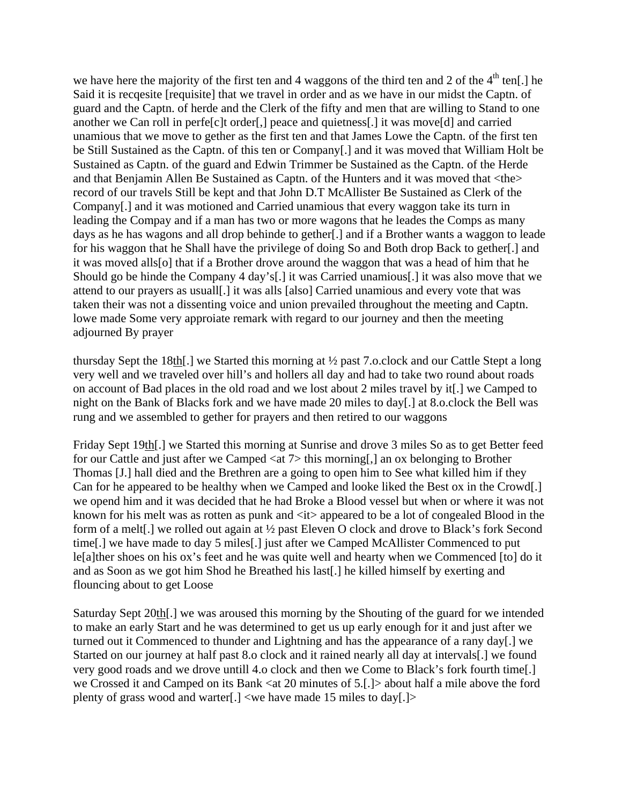we have here the majority of the first ten and 4 waggons of the third ten and 2 of the  $4<sup>th</sup>$  ten[.] he Said it is recqesite [requisite] that we travel in order and as we have in our midst the Captn. of guard and the Captn. of herde and the Clerk of the fifty and men that are willing to Stand to one another we Can roll in perfe[c]t order[,] peace and quietness[.] it was move[d] and carried unamious that we move to gether as the first ten and that James Lowe the Captn. of the first ten be Still Sustained as the Captn. of this ten or Company[.] and it was moved that William Holt be Sustained as Captn. of the guard and Edwin Trimmer be Sustained as the Captn. of the Herde and that Benjamin Allen Be Sustained as Captn. of the Hunters and it was moved that <the> record of our travels Still be kept and that John D.T McAllister Be Sustained as Clerk of the Company[.] and it was motioned and Carried unamious that every waggon take its turn in leading the Compay and if a man has two or more wagons that he leades the Comps as many days as he has wagons and all drop behinde to gether[.] and if a Brother wants a waggon to leade for his waggon that he Shall have the privilege of doing So and Both drop Back to gether[.] and it was moved alls[o] that if a Brother drove around the waggon that was a head of him that he Should go be hinde the Company 4 day's[.] it was Carried unamious[.] it was also move that we attend to our prayers as usuall[.] it was alls [also] Carried unamious and every vote that was taken their was not a dissenting voice and union prevailed throughout the meeting and Captn. lowe made Some very approiate remark with regard to our journey and then the meeting adjourned By prayer

thursday Sept the 18th[.] we Started this morning at ½ past 7.o.clock and our Cattle Stept a long very well and we traveled over hill's and hollers all day and had to take two round about roads on account of Bad places in the old road and we lost about 2 miles travel by it[.] we Camped to night on the Bank of Blacks fork and we have made 20 miles to day[.] at 8.o.clock the Bell was rung and we assembled to gether for prayers and then retired to our waggons

Friday Sept 19th[.] we Started this morning at Sunrise and drove 3 miles So as to get Better feed for our Cattle and just after we Camped  $\langle$  at 7 $\rangle$  this morning[,] an ox belonging to Brother Thomas [J.] hall died and the Brethren are a going to open him to See what killed him if they Can for he appeared to be healthy when we Camped and looke liked the Best ox in the Crowd[.] we opend him and it was decided that he had Broke a Blood vessel but when or where it was not known for his melt was as rotten as punk and  $\langle$ it $\rangle$  appeared to be a lot of congealed Blood in the form of a melt[.] we rolled out again at ½ past Eleven O clock and drove to Black's fork Second time[.] we have made to day 5 miles[.] just after we Camped McAllister Commenced to put le[a]ther shoes on his ox's feet and he was quite well and hearty when we Commenced [to] do it and as Soon as we got him Shod he Breathed his last[.] he killed himself by exerting and flouncing about to get Loose

Saturday Sept 20th[.] we was aroused this morning by the Shouting of the guard for we intended to make an early Start and he was determined to get us up early enough for it and just after we turned out it Commenced to thunder and Lightning and has the appearance of a rany day[.] we Started on our journey at half past 8.o clock and it rained nearly all day at intervals[.] we found very good roads and we drove untill 4.o clock and then we Come to Black's fork fourth time[.] we Crossed it and Camped on its Bank <at 20 minutes of 5.[.] > about half a mile above the ford plenty of grass wood and warter[.] <we have made 15 miles to day[.]>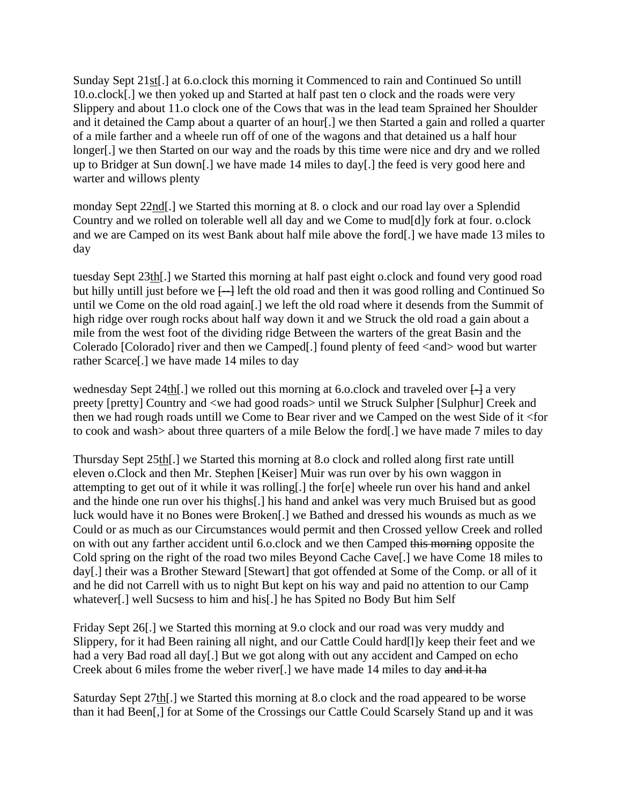Sunday Sept 21st[.] at 6.o.clock this morning it Commenced to rain and Continued So untill 10.o.clock[.] we then yoked up and Started at half past ten o clock and the roads were very Slippery and about 11.o clock one of the Cows that was in the lead team Sprained her Shoulder and it detained the Camp about a quarter of an hour[.] we then Started a gain and rolled a quarter of a mile farther and a wheele run off of one of the wagons and that detained us a half hour longer[.] we then Started on our way and the roads by this time were nice and dry and we rolled up to Bridger at Sun down[.] we have made 14 miles to day[.] the feed is very good here and warter and willows plenty

monday Sept 22nd[.] we Started this morning at 8. o clock and our road lay over a Splendid Country and we rolled on tolerable well all day and we Come to mud[d]y fork at four. o.clock and we are Camped on its west Bank about half mile above the ford[.] we have made 13 miles to day

tuesday Sept 23th[.] we Started this morning at half past eight o.clock and found very good road but hilly untill just before we  $\Box$  left the old road and then it was good rolling and Continued So until we Come on the old road again[.] we left the old road where it desends from the Summit of high ridge over rough rocks about half way down it and we Struck the old road a gain about a mile from the west foot of the dividing ridge Between the warters of the great Basin and the Colerado [Colorado] river and then we Camped[.] found plenty of feed <and> wood but warter rather Scarce[.] we have made 14 miles to day

wednesday Sept 24th. we rolled out this morning at 6.0.clock and traveled over  $\Box$  a very preety [pretty] Country and <we had good roads> until we Struck Sulpher [Sulphur] Creek and then we had rough roads untill we Come to Bear river and we Camped on the west Side of it <for to cook and wash> about three quarters of a mile Below the ford[.] we have made 7 miles to day

Thursday Sept 25th[.] we Started this morning at 8.o clock and rolled along first rate untill eleven o.Clock and then Mr. Stephen [Keiser] Muir was run over by his own waggon in attempting to get out of it while it was rolling[.] the for[e] wheele run over his hand and ankel and the hinde one run over his thighs[.] his hand and ankel was very much Bruised but as good luck would have it no Bones were Broken[.] we Bathed and dressed his wounds as much as we Could or as much as our Circumstances would permit and then Crossed yellow Creek and rolled on with out any farther accident until 6.o.clock and we then Camped this morning opposite the Cold spring on the right of the road two miles Beyond Cache Cave[.] we have Come 18 miles to day[.] their was a Brother Steward [Stewart] that got offended at Some of the Comp. or all of it and he did not Carrell with us to night But kept on his way and paid no attention to our Camp whatever[.] well Sucsess to him and his[.] he has Spited no Body But him Self

Friday Sept 26[.] we Started this morning at 9.o clock and our road was very muddy and Slippery, for it had Been raining all night, and our Cattle Could hard[l]y keep their feet and we had a very Bad road all day[.] But we got along with out any accident and Camped on echo Creek about 6 miles frome the weber river[.] we have made 14 miles to day and it ha

Saturday Sept 27th[.] we Started this morning at 8.o clock and the road appeared to be worse than it had Been[,] for at Some of the Crossings our Cattle Could Scarsely Stand up and it was